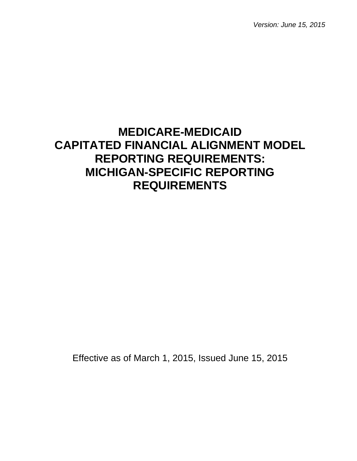*Version: June 15, 2015*

# **MEDICARE-MEDICAID CAPITATED FINANCIAL ALIGNMENT MODEL REPORTING REQUIREMENTS: MICHIGAN-SPECIFIC REPORTING REQUIREMENTS**

Effective as of March 1, 2015, Issued June 15, 2015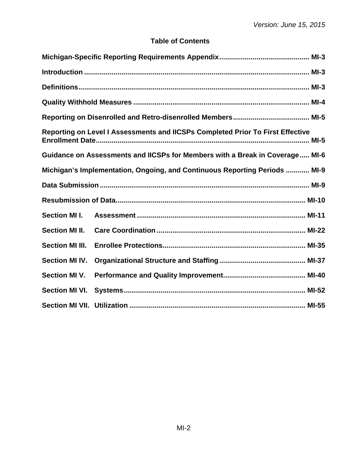# **Table of Contents**

|                        | Reporting on Level I Assessments and IICSPs Completed Prior To First Effective |  |  |  |
|------------------------|--------------------------------------------------------------------------------|--|--|--|
|                        | Guidance on Assessments and IICSPs for Members with a Break in Coverage MI-6   |  |  |  |
|                        | Michigan's Implementation, Ongoing, and Continuous Reporting Periods  MI-9     |  |  |  |
|                        |                                                                                |  |  |  |
|                        |                                                                                |  |  |  |
| <b>Section MI I.</b>   |                                                                                |  |  |  |
| <b>Section MI II.</b>  |                                                                                |  |  |  |
| <b>Section MI III.</b> |                                                                                |  |  |  |
| <b>Section MI IV.</b>  |                                                                                |  |  |  |
| <b>Section MI V.</b>   |                                                                                |  |  |  |
| <b>Section MI VI.</b>  |                                                                                |  |  |  |
|                        |                                                                                |  |  |  |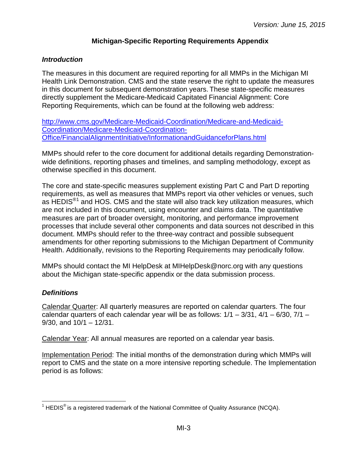#### **Michigan-Specific Reporting Requirements Appendix**

#### <span id="page-2-1"></span><span id="page-2-0"></span>*Introduction*

The measures in this document are required reporting for all MMPs in the Michigan MI Health Link Demonstration. CMS and the state reserve the right to update the measures in this document for subsequent demonstration years. These state-specific measures directly supplement the Medicare-Medicaid Capitated Financial Alignment: Core Reporting Requirements, which can be found at the following web address:

[http://www.cms.gov/Medicare-Medicaid-Coordination/Medicare-and-Medicaid-](http://www.cms.gov/Medicare-Medicaid-Coordination/Medicare-and-Medicaid-Coordination/Medicare-Medicaid-Coordination-Office/FinancialAlignmentInitiative/InformationandGuidanceforPlans.html)[Coordination/Medicare-Medicaid-Coordination-](http://www.cms.gov/Medicare-Medicaid-Coordination/Medicare-and-Medicaid-Coordination/Medicare-Medicaid-Coordination-Office/FinancialAlignmentInitiative/InformationandGuidanceforPlans.html)[Office/FinancialAlignmentInitiative/InformationandGuidanceforPlans.html](http://www.cms.gov/Medicare-Medicaid-Coordination/Medicare-and-Medicaid-Coordination/Medicare-Medicaid-Coordination-Office/FinancialAlignmentInitiative/InformationandGuidanceforPlans.html)

MMPs should refer to the core document for additional details regarding Demonstrationwide definitions, reporting phases and timelines, and sampling methodology, except as otherwise specified in this document.

The core and state-specific measures supplement existing Part C and Part D reporting requirements, as well as measures that MMPs report via other vehicles or venues, such as HEDIS<sup>®[1](#page-2-3)</sup> and HOS. CMS and the state will also track key utilization measures, which are not included in this document, using encounter and claims data. The quantitative measures are part of broader oversight, monitoring, and performance improvement processes that include several other components and data sources not described in this document. MMPs should refer to the three-way contract and possible subsequent amendments for other reporting submissions to the Michigan Department of Community Health. Additionally, revisions to the Reporting Requirements may periodically follow.

MMPs should contact the MI HelpDesk at MIHelpDesk@norc.org with any questions about the Michigan state-specific appendix or the data submission process.

#### <span id="page-2-2"></span>*Definitions*

Calendar Quarter: All quarterly measures are reported on calendar quarters. The four calendar quarters of each calendar year will be as follows:  $1/1 - 3/31$ ,  $4/1 - 6/30$ ,  $7/1 -$ 9/30, and 10/1 – 12/31.

Calendar Year: All annual measures are reported on a calendar year basis.

Implementation Period: The initial months of the demonstration during which MMPs will report to CMS and the state on a more intensive reporting schedule. The Implementation period is as follows:

<span id="page-2-3"></span> $1$  HEDIS<sup>®</sup> is a registered trademark of the National Committee of Quality Assurance (NCQA).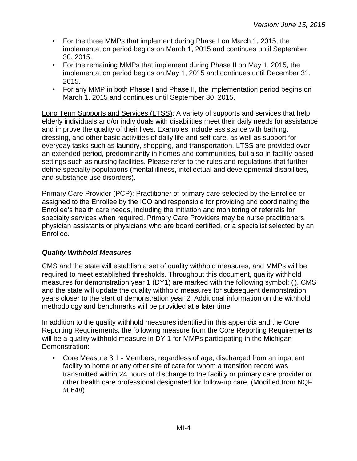- For the three MMPs that implement during Phase I on March 1, 2015, the implementation period begins on March 1, 2015 and continues until September 30, 2015.
- For the remaining MMPs that implement during Phase II on May 1, 2015, the implementation period begins on May 1, 2015 and continues until December 31, 2015.
- For any MMP in both Phase I and Phase II, the implementation period begins on March 1, 2015 and continues until September 30, 2015.

Long Term Supports and Services (LTSS): A variety of supports and services that help elderly individuals and/or individuals with disabilities meet their daily needs for assistance and improve the quality of their lives. Examples include assistance with bathing, dressing, and other basic activities of daily life and self-care, as well as support for everyday tasks such as laundry, shopping, and transportation. LTSS are provided over an extended period, predominantly in homes and communities, but also in facility-based settings such as nursing facilities. Please refer to the rules and regulations that further define specialty populations (mental illness, intellectual and developmental disabilities, and substance use disorders).

Primary Care Provider (PCP): Practitioner of primary care selected by the Enrollee or assigned to the Enrollee by the ICO and responsible for providing and coordinating the Enrollee's health care needs, including the initiation and monitoring of referrals for specialty services when required. Primary Care Providers may be nurse practitioners, physician assistants or physicians who are board certified, or a specialist selected by an Enrollee.

## <span id="page-3-0"></span>*Quality Withhold Measures*

CMS and the state will establish a set of quality withhold measures, and MMPs will be required to meet established thresholds. Throughout this document, quality withhold measures for demonstration year 1 (DY1) are marked with the following symbol: ( $\dot{ }$ ). CMS and the state will update the quality withhold measures for subsequent demonstration years closer to the start of demonstration year 2. Additional information on the withhold methodology and benchmarks will be provided at a later time.

In addition to the quality withhold measures identified in this appendix and the Core Reporting Requirements, the following measure from the Core Reporting Requirements will be a quality withhold measure in DY 1 for MMPs participating in the Michigan Demonstration:

• Core Measure 3.1 - Members, regardless of age, discharged from an inpatient facility to home or any other site of care for whom a transition record was transmitted within 24 hours of discharge to the facility or primary care provider or other health care professional designated for follow-up care. (Modified from NQF #0648)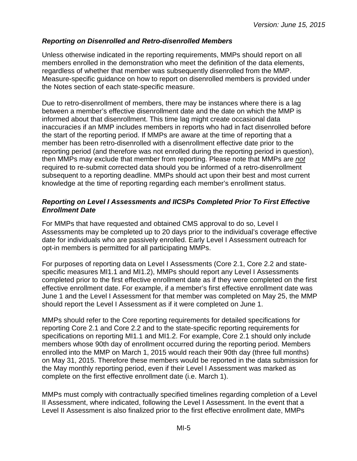#### <span id="page-4-0"></span>*Reporting on Disenrolled and Retro-disenrolled Members*

Unless otherwise indicated in the reporting requirements, MMPs should report on all members enrolled in the demonstration who meet the definition of the data elements, regardless of whether that member was subsequently disenrolled from the MMP. Measure-specific guidance on how to report on disenrolled members is provided under the Notes section of each state-specific measure.

Due to retro-disenrollment of members, there may be instances where there is a lag between a member's effective disenrollment date and the date on which the MMP is informed about that disenrollment. This time lag might create occasional data inaccuracies if an MMP includes members in reports who had in fact disenrolled before the start of the reporting period. If MMPs are aware at the time of reporting that a member has been retro-disenrolled with a disenrollment effective date prior to the reporting period (and therefore was not enrolled during the reporting period in question), then MMPs may exclude that member from reporting. Please note that MMPs are *not* required to re-submit corrected data should you be informed of a retro-disenrollment subsequent to a reporting deadline. MMPs should act upon their best and most current knowledge at the time of reporting regarding each member's enrollment status.

#### <span id="page-4-1"></span>*Reporting on Level I Assessments and IICSPs Completed Prior To First Effective Enrollment Date*

For MMPs that have requested and obtained CMS approval to do so, Level I Assessments may be completed up to 20 days prior to the individual's coverage effective date for individuals who are passively enrolled. Early Level I Assessment outreach for opt-in members is permitted for all participating MMPs.

For purposes of reporting data on Level I Assessments (Core 2.1, Core 2.2 and statespecific measures MI1.1 and MI1.2), MMPs should report any Level I Assessments completed prior to the first effective enrollment date as if they were completed on the first effective enrollment date. For example, if a member's first effective enrollment date was June 1 and the Level I Assessment for that member was completed on May 25, the MMP should report the Level I Assessment as if it were completed on June 1.

MMPs should refer to the Core reporting requirements for detailed specifications for reporting Core 2.1 and Core 2.2 and to the state-specific reporting requirements for specifications on reporting MI1.1 and MI1.2. For example, Core 2.1 should only include members whose 90th day of enrollment occurred during the reporting period. Members enrolled into the MMP on March 1, 2015 would reach their 90th day (three full months) on May 31, 2015. Therefore these members would be reported in the data submission for the May monthly reporting period, even if their Level I Assessment was marked as complete on the first effective enrollment date (i.e. March 1).

MMPs must comply with contractually specified timelines regarding completion of a Level II Assessment, where indicated, following the Level I Assessment. In the event that a Level II Assessment is also finalized prior to the first effective enrollment date, MMPs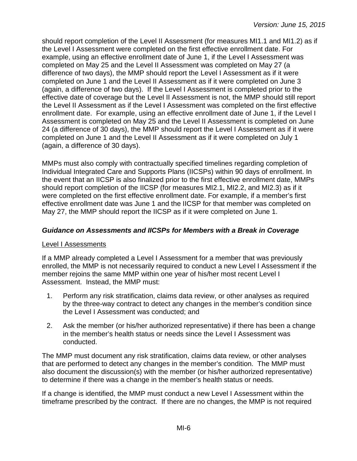should report completion of the Level II Assessment (for measures MI1.1 and MI1.2) as if the Level I Assessment were completed on the first effective enrollment date. For example, using an effective enrollment date of June 1, if the Level I Assessment was completed on May 25 and the Level II Assessment was completed on May 27 (a difference of two days), the MMP should report the Level I Assessment as if it were completed on June 1 and the Level II Assessment as if it were completed on June 3 (again, a difference of two days). If the Level I Assessment is completed prior to the effective date of coverage but the Level II Assessment is not, the MMP should still report the Level II Assessment as if the Level I Assessment was completed on the first effective enrollment date. For example, using an effective enrollment date of June 1, if the Level I Assessment is completed on May 25 and the Level II Assessment is completed on June 24 (a difference of 30 days), the MMP should report the Level I Assessment as if it were completed on June 1 and the Level II Assessment as if it were completed on July 1 (again, a difference of 30 days).

MMPs must also comply with contractually specified timelines regarding completion of Individual Integrated Care and Supports Plans (IICSPs) within 90 days of enrollment. In the event that an IICSP is also finalized prior to the first effective enrollment date, MMPs should report completion of the IICSP (for measures MI2.1, MI2.2, and MI2.3) as if it were completed on the first effective enrollment date. For example, if a member's first effective enrollment date was June 1 and the IICSP for that member was completed on May 27, the MMP should report the IICSP as if it were completed on June 1.

## <span id="page-5-0"></span>*Guidance on Assessments and IICSPs for Members with a Break in Coverage*

#### Level I Assessments

If a MMP already completed a Level I Assessment for a member that was previously enrolled, the MMP is not necessarily required to conduct a new Level I Assessment if the member rejoins the same MMP within one year of his/her most recent Level I Assessment. Instead, the MMP must:

- 1. Perform any risk stratification, claims data review, or other analyses as required by the three-way contract to detect any changes in the member's condition since the Level I Assessment was conducted; and
- 2. Ask the member (or his/her authorized representative) if there has been a change in the member's health status or needs since the Level I Assessment was conducted.

The MMP must document any risk stratification, claims data review, or other analyses that are performed to detect any changes in the member's condition. The MMP must also document the discussion(s) with the member (or his/her authorized representative) to determine if there was a change in the member's health status or needs.

If a change is identified, the MMP must conduct a new Level I Assessment within the timeframe prescribed by the contract. If there are no changes, the MMP is not required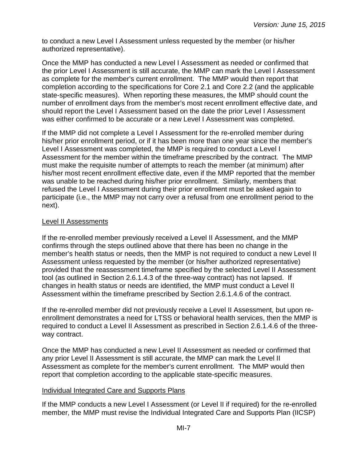to conduct a new Level I Assessment unless requested by the member (or his/her authorized representative).

Once the MMP has conducted a new Level I Assessment as needed or confirmed that the prior Level I Assessment is still accurate, the MMP can mark the Level I Assessment as complete for the member's current enrollment. The MMP would then report that completion according to the specifications for Core 2.1 and Core 2.2 (and the applicable state-specific measures). When reporting these measures, the MMP should count the number of enrollment days from the member's most recent enrollment effective date, and should report the Level I Assessment based on the date the prior Level I Assessment was either confirmed to be accurate or a new Level I Assessment was completed.

If the MMP did not complete a Level I Assessment for the re-enrolled member during his/her prior enrollment period, or if it has been more than one year since the member's Level I Assessment was completed, the MMP is required to conduct a Level I Assessment for the member within the timeframe prescribed by the contract. The MMP must make the requisite number of attempts to reach the member (at minimum) after his/her most recent enrollment effective date, even if the MMP reported that the member was unable to be reached during his/her prior enrollment. Similarly, members that refused the Level I Assessment during their prior enrollment must be asked again to participate (i.e., the MMP may not carry over a refusal from one enrollment period to the next).

#### Level II Assessments

If the re-enrolled member previously received a Level II Assessment, and the MMP confirms through the steps outlined above that there has been no change in the member's health status or needs, then the MMP is not required to conduct a new Level II Assessment unless requested by the member (or his/her authorized representative) provided that the reassessment timeframe specified by the selected Level II Assessment tool (as outlined in Section 2.6.1.4.3 of the three-way contract) has not lapsed. If changes in health status or needs are identified, the MMP must conduct a Level II Assessment within the timeframe prescribed by Section 2.6.1.4.6 of the contract.

If the re-enrolled member did not previously receive a Level II Assessment, but upon reenrollment demonstrates a need for LTSS or behavioral health services, then the MMP is required to conduct a Level II Assessment as prescribed in Section 2.6.1.4.6 of the threeway contract.

Once the MMP has conducted a new Level II Assessment as needed or confirmed that any prior Level II Assessment is still accurate, the MMP can mark the Level II Assessment as complete for the member's current enrollment. The MMP would then report that completion according to the applicable state-specific measures.

#### Individual Integrated Care and Supports Plans

If the MMP conducts a new Level I Assessment (or Level II if required) for the re-enrolled member, the MMP must revise the Individual Integrated Care and Supports Plan (IICSP)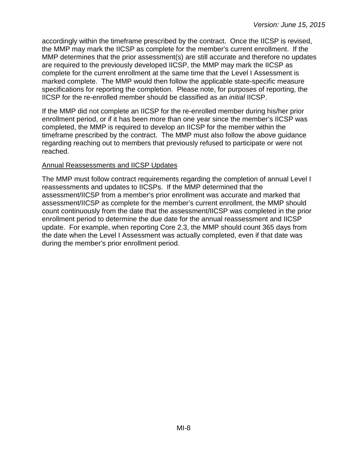accordingly within the timeframe prescribed by the contract. Once the IICSP is revised, the MMP may mark the IICSP as complete for the member's current enrollment. If the MMP determines that the prior assessment(s) are still accurate and therefore no updates are required to the previously developed IICSP, the MMP may mark the IICSP as complete for the current enrollment at the same time that the Level I Assessment is marked complete. The MMP would then follow the applicable state-specific measure specifications for reporting the completion. Please note, for purposes of reporting, the IICSP for the re-enrolled member should be classified as an *initial* IICSP.

If the MMP did not complete an IICSP for the re-enrolled member during his/her prior enrollment period, or if it has been more than one year since the member's IICSP was completed, the MMP is required to develop an IICSP for the member within the timeframe prescribed by the contract. The MMP must also follow the above guidance regarding reaching out to members that previously refused to participate or were not reached.

#### Annual Reassessments and IICSP Updates

The MMP must follow contract requirements regarding the completion of annual Level I reassessments and updates to IICSPs. If the MMP determined that the assessment/IICSP from a member's prior enrollment was accurate and marked that assessment/IICSP as complete for the member's current enrollment, the MMP should count continuously from the date that the assessment/IICSP was completed in the prior enrollment period to determine the due date for the annual reassessment and IICSP update. For example, when reporting Core 2.3, the MMP should count 365 days from the date when the Level I Assessment was actually completed, even if that date was during the member's prior enrollment period.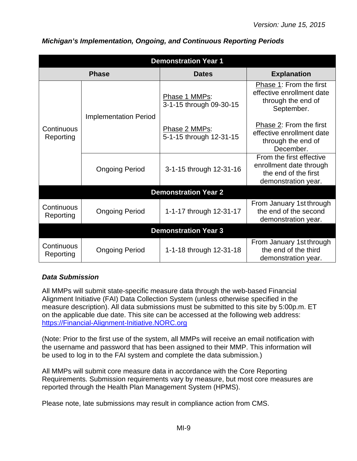| <b>Demonstration Year 1</b> |                              |                                          |                                                                                                    |  |
|-----------------------------|------------------------------|------------------------------------------|----------------------------------------------------------------------------------------------------|--|
|                             | <b>Phase</b>                 | <b>Dates</b>                             | <b>Explanation</b>                                                                                 |  |
| Continuous<br>Reporting     | <b>Implementation Period</b> | Phase 1 MMPs:<br>3-1-15 through 09-30-15 | Phase 1: From the first<br>effective enrollment date<br>through the end of<br>September.           |  |
|                             |                              | Phase 2 MMPs:<br>5-1-15 through 12-31-15 | Phase 2: From the first<br>effective enrollment date<br>through the end of<br>December.            |  |
|                             | <b>Ongoing Period</b>        | 3-1-15 through 12-31-16                  | From the first effective<br>enrollment date through<br>the end of the first<br>demonstration year. |  |
| <b>Demonstration Year 2</b> |                              |                                          |                                                                                                    |  |
| Continuous<br>Reporting     | <b>Ongoing Period</b>        | 1-1-17 through 12-31-17                  | From January 1st through<br>the end of the second<br>demonstration year.                           |  |
|                             |                              | <b>Demonstration Year 3</b>              |                                                                                                    |  |
| Continuous<br>Reporting     | <b>Ongoing Period</b>        | 1-1-18 through 12-31-18                  | From January 1st through<br>the end of the third<br>demonstration year.                            |  |

#### <span id="page-8-0"></span>*Michigan's Implementation, Ongoing, and Continuous Reporting Periods*

#### <span id="page-8-1"></span>*Data Submission*

All MMPs will submit state-specific measure data through the web-based Financial Alignment Initiative (FAI) Data Collection System (unless otherwise specified in the measure description). All data submissions must be submitted to this site by 5:00p.m. ET on the applicable due date. This site can be accessed at the following web address: [https://Financial-Alignment-Initiative.NORC.org](https://financial-alignment-initiative.norc.org/) 

(Note: Prior to the first use of the system, all MMPs will receive an email notification with the username and password that has been assigned to their MMP. This information will be used to log in to the FAI system and complete the data submission.)

All MMPs will submit core measure data in accordance with the Core Reporting Requirements. Submission requirements vary by measure, but most core measures are reported through the Health Plan Management System (HPMS).

Please note, late submissions may result in compliance action from CMS.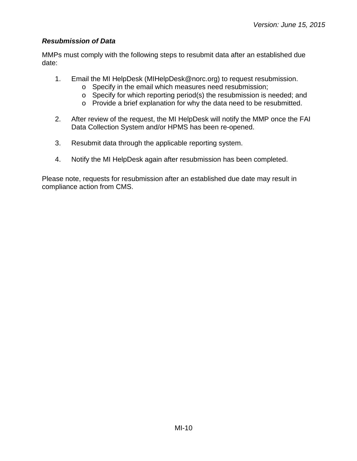## <span id="page-9-0"></span>*Resubmission of Data*

MMPs must comply with the following steps to resubmit data after an established due date:

- 1. Email the MI HelpDesk (MIHelpDesk@norc.org) to request resubmission.
	- o Specify in the email which measures need resubmission;
	- o Specify for which reporting period(s) the resubmission is needed; and
	- o Provide a brief explanation for why the data need to be resubmitted.
- 2. After review of the request, the MI HelpDesk will notify the MMP once the FAI Data Collection System and/or HPMS has been re-opened.
- 3. Resubmit data through the applicable reporting system.
- 4. Notify the MI HelpDesk again after resubmission has been completed.

Please note, requests for resubmission after an established due date may result in compliance action from CMS.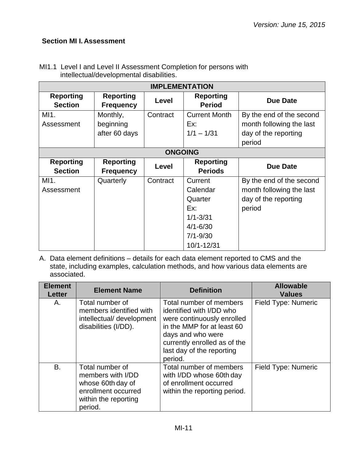## <span id="page-10-0"></span>**Section MI I. Assessment**

| <b>IMPLEMENTATION</b>              |                                      |                |                                    |                          |
|------------------------------------|--------------------------------------|----------------|------------------------------------|--------------------------|
| <b>Reporting</b><br><b>Section</b> | <b>Reporting</b><br><b>Frequency</b> | Level          | <b>Reporting</b><br><b>Period</b>  | <b>Due Date</b>          |
| MI1.                               | Monthly,                             | Contract       | <b>Current Month</b>               | By the end of the second |
| Assessment                         | beginning                            |                | Ex:                                | month following the last |
|                                    | after 60 days                        |                | $1/1 - 1/31$                       | day of the reporting     |
|                                    |                                      |                |                                    | period                   |
|                                    |                                      | <b>ONGOING</b> |                                    |                          |
| <b>Reporting</b><br><b>Section</b> | <b>Reporting</b><br><b>Frequency</b> | Level          | <b>Reporting</b><br><b>Periods</b> | <b>Due Date</b>          |
|                                    |                                      |                |                                    |                          |
| MI1.                               | Quarterly                            | Contract       | Current                            | By the end of the second |
| Assessment                         |                                      |                | Calendar                           | month following the last |
|                                    |                                      |                | Quarter                            | day of the reporting     |
|                                    |                                      |                | Ex:                                | period                   |
|                                    |                                      |                | $1/1 - 3/31$                       |                          |
|                                    |                                      |                | $4/1 - 6/30$                       |                          |
|                                    |                                      |                | $7/1 - 9/30$                       |                          |

MI1.1 Level I and Level II Assessment Completion for persons with intellectual/developmental disabilities.

| <b>Element</b><br><b>Letter</b> | <b>Element Name</b>                                                                                                 | <b>Definition</b>                                                                                                                                                                                            | <b>Allowable</b><br><b>Values</b> |
|---------------------------------|---------------------------------------------------------------------------------------------------------------------|--------------------------------------------------------------------------------------------------------------------------------------------------------------------------------------------------------------|-----------------------------------|
| А.                              | Total number of<br>members identified with<br>intellectual/ development<br>disabilities (I/DD).                     | Total number of members<br>identified with I/DD who<br>were continuously enrolled<br>in the MMP for at least 60<br>days and who were<br>currently enrolled as of the<br>last day of the reporting<br>period. | Field Type: Numeric               |
| B.                              | Total number of<br>members with I/DD<br>whose 60th day of<br>enrollment occurred<br>within the reporting<br>period. | Total number of members<br>with I/DD whose 60th day<br>of enrollment occurred<br>within the reporting period.                                                                                                | Field Type: Numeric               |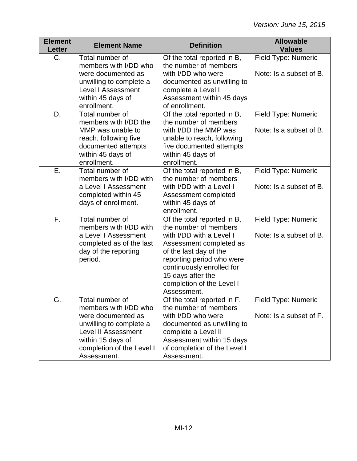| <b>Element</b><br><b>Letter</b> | <b>Element Name</b>                                                                                                                                                                      | <b>Definition</b>                                                                                                                                                                                                                                                | <b>Allowable</b><br><b>Values</b>              |
|---------------------------------|------------------------------------------------------------------------------------------------------------------------------------------------------------------------------------------|------------------------------------------------------------------------------------------------------------------------------------------------------------------------------------------------------------------------------------------------------------------|------------------------------------------------|
| $C_{\cdot}$                     | Total number of<br>members with I/DD who<br>were documented as<br>unwilling to complete a<br><b>Level I Assessment</b><br>within 45 days of<br>enrollment.                               | Of the total reported in B,<br>the number of members<br>with I/DD who were<br>documented as unwilling to<br>complete a Level I<br>Assessment within 45 days<br>of enrollment.                                                                                    | Field Type: Numeric<br>Note: Is a subset of B. |
| D.                              | Total number of<br>members with I/DD the<br>MMP was unable to<br>reach, following five<br>documented attempts<br>within 45 days of<br>enrollment.                                        | Of the total reported in B,<br>the number of members<br>with I/DD the MMP was<br>unable to reach, following<br>five documented attempts<br>within 45 days of<br>enrollment.                                                                                      | Field Type: Numeric<br>Note: Is a subset of B. |
| Ε.                              | Total number of<br>members with I/DD with<br>a Level I Assessment<br>completed within 45<br>days of enrollment.                                                                          | Of the total reported in B,<br>the number of members<br>with I/DD with a Level I<br>Assessment completed<br>within 45 days of<br>enrollment.                                                                                                                     | Field Type: Numeric<br>Note: Is a subset of B. |
| F.                              | Total number of<br>members with I/DD with<br>a Level I Assessment<br>completed as of the last<br>day of the reporting<br>period.                                                         | Of the total reported in B,<br>the number of members<br>with I/DD with a Level I<br>Assessment completed as<br>of the last day of the<br>reporting period who were<br>continuously enrolled for<br>15 days after the<br>completion of the Level I<br>Assessment. | Field Type: Numeric<br>Note: Is a subset of B. |
| G.                              | Total number of<br>members with I/DD who<br>were documented as<br>unwilling to complete a<br><b>Level II Assessment</b><br>within 15 days of<br>completion of the Level I<br>Assessment. | Of the total reported in F,<br>the number of members<br>with I/DD who were<br>documented as unwilling to<br>complete a Level II<br>Assessment within 15 days<br>of completion of the Level I<br>Assessment.                                                      | Field Type: Numeric<br>Note: Is a subset of F. |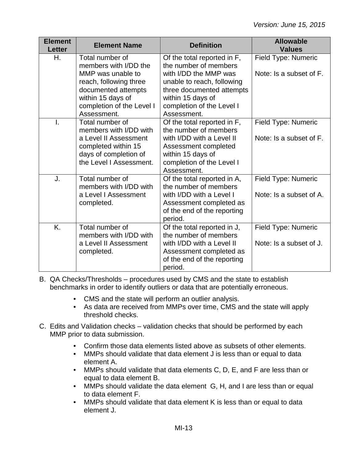| <b>Element</b><br><b>Letter</b> | <b>Element Name</b>                                                                                                                 | <b>Definition</b>                                                                                                                                 | <b>Allowable</b><br><b>Values</b> |
|---------------------------------|-------------------------------------------------------------------------------------------------------------------------------------|---------------------------------------------------------------------------------------------------------------------------------------------------|-----------------------------------|
| Η.                              | Total number of<br>members with I/DD the                                                                                            | Of the total reported in F,<br>the number of members                                                                                              | Field Type: Numeric               |
|                                 | MMP was unable to<br>reach, following three<br>documented attempts<br>within 15 days of<br>completion of the Level I<br>Assessment. | with I/DD the MMP was<br>unable to reach, following<br>three documented attempts<br>within 15 days of<br>completion of the Level I<br>Assessment. | Note: Is a subset of F.           |
|                                 | Total number of<br>members with I/DD with                                                                                           | Of the total reported in F,<br>the number of members                                                                                              | Field Type: Numeric               |
|                                 | a Level II Assessment<br>completed within 15<br>days of completion of<br>the Level I Assessment.                                    | with I/DD with a Level II<br>Assessment completed<br>within 15 days of<br>completion of the Level I<br>Assessment.                                | Note: Is a subset of F.           |
| J.                              | Total number of<br>members with I/DD with                                                                                           | Of the total reported in A,<br>the number of members                                                                                              | Field Type: Numeric               |
|                                 | a Level I Assessment<br>completed.                                                                                                  | with I/DD with a Level I<br>Assessment completed as<br>of the end of the reporting<br>period.                                                     | Note: Is a subset of A.           |
| K.                              | Total number of<br>members with I/DD with                                                                                           | Of the total reported in J,<br>the number of members                                                                                              | Field Type: Numeric               |
|                                 | a Level II Assessment<br>completed.                                                                                                 | with I/DD with a Level II<br>Assessment completed as<br>of the end of the reporting<br>period.                                                    | Note: Is a subset of J.           |

B. QA Checks/Thresholds – procedures used by CMS and the state to establish benchmarks in order to identify outliers or data that are potentially erroneous.

- CMS and the state will perform an outlier analysis.
- As data are received from MMPs over time, CMS and the state will apply threshold checks.
- C. Edits and Validation checks validation checks that should be performed by each MMP prior to data submission.
	- Confirm those data elements listed above as subsets of other elements.
	- MMPs should validate that data element J is less than or equal to data element A.
	- MMPs should validate that data elements C, D, E, and F are less than or equal to data element B.
	- MMPs should validate the data element G, H, and I are less than or equal to data element F.
	- MMPs should validate that data element K is less than or equal to data element J.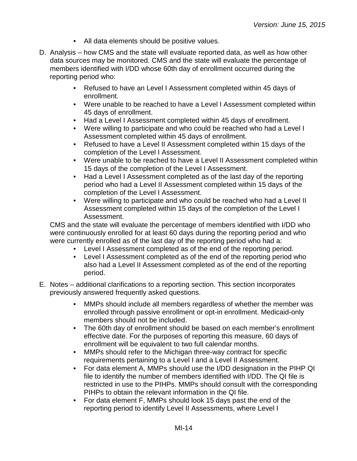- All data elements should be positive values.
- D. Analysis how CMS and the state will evaluate reported data, as well as how other data sources may be monitored. CMS and the state will evaluate the percentage of members identified with I/DD whose 60th day of enrollment occurred during the reporting period who:
	- Refused to have an Level I Assessment completed within 45 days of enrollment.
	- Were unable to be reached to have a Level I Assessment completed within 45 days of enrollment.
	- Had a Level I Assessment completed within 45 days of enrollment.
	- Were willing to participate and who could be reached who had a Level I Assessment completed within 45 days of enrollment.
	- Refused to have a Level II Assessment completed within 15 days of the completion of the Level I Assessment.
	- Were unable to be reached to have a Level II Assessment completed within 15 days of the completion of the Level I Assessment.
	- Had a Level I Assessment completed as of the last day of the reporting period who had a Level II Assessment completed within 15 days of the completion of the Level I Assessment.
	- Were willing to participate and who could be reached who had a Level II Assessment completed within 15 days of the completion of the Level I Assessment.

CMS and the state will evaluate the percentage of members identified with I/DD who were continuously enrolled for at least 60 days during the reporting period and who were currently enrolled as of the last day of the reporting period who had a:

- Level I Assessment completed as of the end of the reporting period.
- Level I Assessment completed as of the end of the reporting period who also had a Level II Assessment completed as of the end of the reporting period.
- E. Notes additional clarifications to a reporting section. This section incorporates previously answered frequently asked questions.
	- MMPs should include all members regardless of whether the member was enrolled through passive enrollment or opt-in enrollment. Medicaid-only members should not be included.
	- The 60th day of enrollment should be based on each member's enrollment effective date. For the purposes of reporting this measure, 60 days of enrollment will be equivalent to two full calendar months.
	- MMPs should refer to the Michigan three-way contract for specific requirements pertaining to a Level I and a Level II Assessment.
	- For data element A, MMPs should use the I/DD designation in the PIHP QI file to identify the number of members identified with I/DD. The QI file is restricted in use to the PIHPs. MMPs should consult with the corresponding PIHPs to obtain the relevant information in the QI file.
	- For data element F, MMPs should look 15 days past the end of the reporting period to identify Level II Assessments, where Level I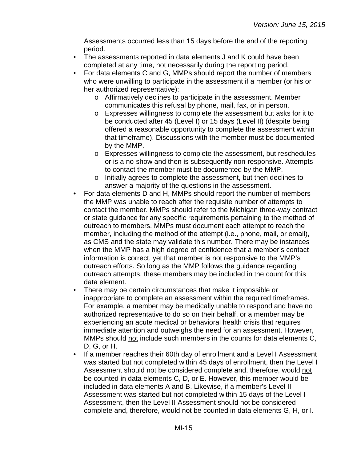Assessments occurred less than 15 days before the end of the reporting period.

- The assessments reported in data elements J and K could have been completed at any time, not necessarily during the reporting period.
- For data elements C and G, MMPs should report the number of members who were unwilling to participate in the assessment if a member (or his or her authorized representative):
	- o Affirmatively declines to participate in the assessment. Member communicates this refusal by phone, mail, fax, or in person.
	- o Expresses willingness to complete the assessment but asks for it to be conducted after 45 (Level I) or 15 days (Level II) (despite being offered a reasonable opportunity to complete the assessment within that timeframe). Discussions with the member must be documented by the MMP.
	- o Expresses willingness to complete the assessment, but reschedules or is a no-show and then is subsequently non-responsive. Attempts to contact the member must be documented by the MMP.
	- o Initially agrees to complete the assessment, but then declines to answer a majority of the questions in the assessment.
- For data elements D and H, MMPs should report the number of members the MMP was unable to reach after the requisite number of attempts to contact the member. MMPs should refer to the Michigan three-way contract or state guidance for any specific requirements pertaining to the method of outreach to members. MMPs must document each attempt to reach the member, including the method of the attempt (i.e., phone, mail, or email), as CMS and the state may validate this number. There may be instances when the MMP has a high degree of confidence that a member's contact information is correct, yet that member is not responsive to the MMP's outreach efforts. So long as the MMP follows the guidance regarding outreach attempts, these members may be included in the count for this data element.
- There may be certain circumstances that make it impossible or inappropriate to complete an assessment within the required timeframes. For example, a member may be medically unable to respond and have no authorized representative to do so on their behalf, or a member may be experiencing an acute medical or behavioral health crisis that requires immediate attention and outweighs the need for an assessment. However, MMPs should not include such members in the counts for data elements C, D, G, or H.
- If a member reaches their 60th day of enrollment and a Level I Assessment was started but not completed within 45 days of enrollment, then the Level I Assessment should not be considered complete and, therefore, would not be counted in data elements C, D, or E. However, this member would be included in data elements A and B. Likewise, if a member's Level II Assessment was started but not completed within 15 days of the Level I Assessment, then the Level II Assessment should not be considered complete and, therefore, would not be counted in data elements G, H, or I.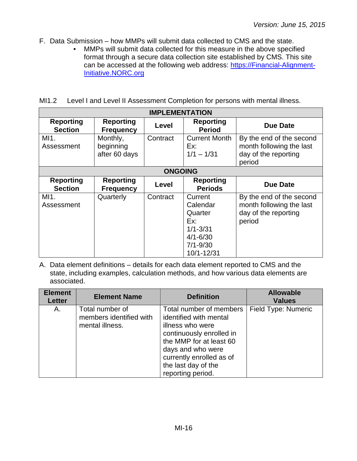- F. Data Submission how MMPs will submit data collected to CMS and the state.
	- MMPs will submit data collected for this measure in the above specified format through a secure data collection site established by CMS. This site can be accessed at the following web address: [https://Financial-Alignment-](https://financial-alignment-initiative.norc.org/)[Initiative.NORC.org](https://financial-alignment-initiative.norc.org/)

MI1.2 Level I and Level II Assessment Completion for persons with mental illness.

| <b>IMPLEMENTATION</b>              |                                        |          |                                                                                                     |                                                                                        |  |
|------------------------------------|----------------------------------------|----------|-----------------------------------------------------------------------------------------------------|----------------------------------------------------------------------------------------|--|
| <b>Reporting</b><br><b>Section</b> | <b>Reporting</b><br><b>Frequency</b>   | Level    | <b>Reporting</b><br><b>Period</b>                                                                   | <b>Due Date</b>                                                                        |  |
| MI1.<br>Assessment                 | Monthly,<br>beginning<br>after 60 days | Contract | <b>Current Month</b><br>Ex:<br>$1/1 - 1/31$                                                         | By the end of the second<br>month following the last<br>day of the reporting<br>period |  |
|                                    | <b>ONGOING</b>                         |          |                                                                                                     |                                                                                        |  |
| <b>Reporting</b><br><b>Section</b> | <b>Reporting</b><br><b>Frequency</b>   | Level    | <b>Reporting</b><br><b>Periods</b>                                                                  | <b>Due Date</b>                                                                        |  |
| MI1.<br>Assessment                 | Quarterly                              | Contract | Current<br>Calendar<br>Quarter<br>Ex:<br>$1/1 - 3/31$<br>$4/1 - 6/30$<br>$7/1 - 9/30$<br>10/1-12/31 | By the end of the second<br>month following the last<br>day of the reporting<br>period |  |

| <b>Element</b><br><b>Letter</b> | <b>Element Name</b>                                           | <b>Definition</b>                                                                                                                                                                                                         | <b>Allowable</b><br><b>Values</b> |
|---------------------------------|---------------------------------------------------------------|---------------------------------------------------------------------------------------------------------------------------------------------------------------------------------------------------------------------------|-----------------------------------|
| А.                              | Total number of<br>members identified with<br>mental illness. | Total number of members<br>identified with mental<br>illness who were<br>continuously enrolled in<br>the MMP for at least 60<br>days and who were<br>currently enrolled as of<br>the last day of the<br>reporting period. | Field Type: Numeric               |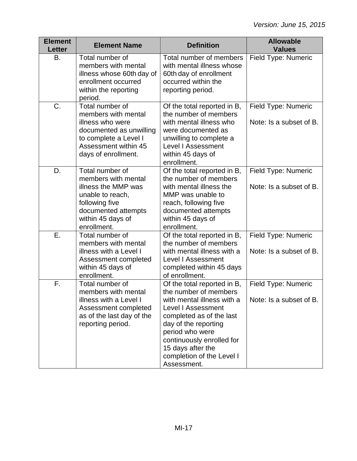| <b>Element</b><br><b>Letter</b> | <b>Element Name</b>                                                                                                                                            | <b>Definition</b>                                                                                                                                                                                                                                                                    | <b>Allowable</b><br><b>Values</b>              |
|---------------------------------|----------------------------------------------------------------------------------------------------------------------------------------------------------------|--------------------------------------------------------------------------------------------------------------------------------------------------------------------------------------------------------------------------------------------------------------------------------------|------------------------------------------------|
| B.                              | Total number of<br>members with mental<br>illness whose 60th day of<br>enrollment occurred<br>within the reporting<br>period.                                  | Total number of members<br>with mental illness whose<br>60th day of enrollment<br>occurred within the<br>reporting period.                                                                                                                                                           | Field Type: Numeric                            |
| C.                              | Total number of<br>members with mental<br>illness who were<br>documented as unwilling<br>to complete a Level I<br>Assessment within 45<br>days of enrollment.  | Of the total reported in B,<br>the number of members<br>with mental illness who<br>were documented as<br>unwilling to complete a<br><b>Level I Assessment</b><br>within 45 days of<br>enrollment.                                                                                    | Field Type: Numeric<br>Note: Is a subset of B. |
| D.                              | Total number of<br>members with mental<br>illness the MMP was<br>unable to reach,<br>following five<br>documented attempts<br>within 45 days of<br>enrollment. | Of the total reported in B,<br>the number of members<br>with mental illness the<br>MMP was unable to<br>reach, following five<br>documented attempts<br>within 45 days of<br>enrollment.                                                                                             | Field Type: Numeric<br>Note: Is a subset of B. |
| Ε.                              | Total number of<br>members with mental<br>illness with a Level I<br>Assessment completed<br>within 45 days of<br>enrollment.                                   | Of the total reported in B,<br>the number of members<br>with mental illness with a<br><b>Level I Assessment</b><br>completed within 45 days<br>of enrollment.                                                                                                                        | Field Type: Numeric<br>Note: Is a subset of B. |
| F.                              | Total number of<br>members with mental<br>illness with a Level I<br>Assessment completed<br>as of the last day of the<br>reporting period.                     | Of the total reported in B,<br>the number of members<br>with mental illness with a<br><b>Level I Assessment</b><br>completed as of the last<br>day of the reporting<br>period who were<br>continuously enrolled for<br>15 days after the<br>completion of the Level I<br>Assessment. | Field Type: Numeric<br>Note: Is a subset of B. |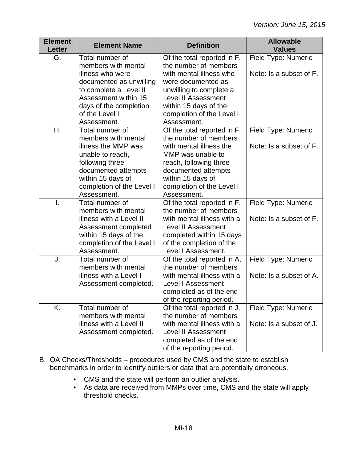| <b>Element</b><br><b>Letter</b> | <b>Element Name</b>                                                                                                                                            | <b>Definition</b>                                                                                                                                                                               | <b>Allowable</b><br><b>Values</b>              |
|---------------------------------|----------------------------------------------------------------------------------------------------------------------------------------------------------------|-------------------------------------------------------------------------------------------------------------------------------------------------------------------------------------------------|------------------------------------------------|
| G.                              | Total number of<br>members with mental                                                                                                                         | Of the total reported in F,<br>the number of members                                                                                                                                            | Field Type: Numeric                            |
|                                 | illness who were<br>documented as unwilling<br>to complete a Level II<br>Assessment within 15<br>days of the completion                                        | with mental illness who<br>were documented as<br>unwilling to complete a<br><b>Level II Assessment</b><br>within 15 days of the                                                                 | Note: Is a subset of F.                        |
|                                 | of the Level I<br>Assessment.                                                                                                                                  | completion of the Level I<br>Assessment.                                                                                                                                                        |                                                |
| Η.                              | Total number of<br>members with mental                                                                                                                         | Of the total reported in F,<br>the number of members                                                                                                                                            | Field Type: Numeric                            |
|                                 | illness the MMP was<br>unable to reach,<br>following three<br>documented attempts<br>within 15 days of<br>completion of the Level I                            | with mental illness the<br>MMP was unable to<br>reach, following three<br>documented attempts<br>within 15 days of<br>completion of the Level I                                                 | Note: Is a subset of F.                        |
|                                 | Assessment.                                                                                                                                                    | Assessment.                                                                                                                                                                                     |                                                |
| Ī.                              | Total number of<br>members with mental<br>illness with a Level II<br>Assessment completed<br>within 15 days of the<br>completion of the Level I<br>Assessment. | Of the total reported in F,<br>the number of members<br>with mental illness with a<br><b>Level II Assessment</b><br>completed within 15 days<br>of the completion of the<br>Level I Assessment. | Field Type: Numeric<br>Note: Is a subset of F. |
| J.                              | Total number of<br>members with mental<br>illness with a Level I<br>Assessment completed.                                                                      | Of the total reported in A,<br>the number of members<br>with mental illness with a<br><b>Level I Assessment</b><br>completed as of the end<br>of the reporting period.                          | Field Type: Numeric<br>Note: Is a subset of A. |
| K.                              | Total number of<br>members with mental<br>illness with a Level II<br>Assessment completed.                                                                     | Of the total reported in J,<br>the number of members<br>with mental illness with a<br><b>Level II Assessment</b><br>completed as of the end<br>of the reporting period.                         | Field Type: Numeric<br>Note: Is a subset of J. |

B. QA Checks/Thresholds – procedures used by CMS and the state to establish benchmarks in order to identify outliers or data that are potentially erroneous.

- CMS and the state will perform an outlier analysis.
- As data are received from MMPs over time, CMS and the state will apply threshold checks.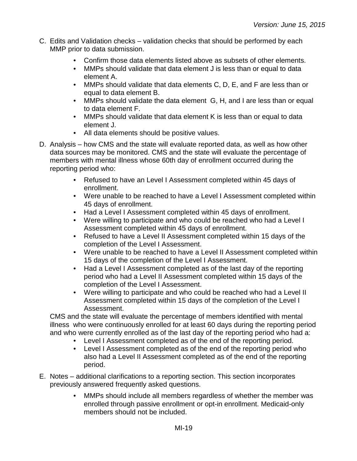- C. Edits and Validation checks validation checks that should be performed by each MMP prior to data submission.
	- Confirm those data elements listed above as subsets of other elements.
	- MMPs should validate that data element J is less than or equal to data element A.
	- MMPs should validate that data elements C, D, E, and F are less than or equal to data element B.
	- MMPs should validate the data element G, H, and I are less than or equal to data element F.
	- MMPs should validate that data element K is less than or equal to data element J.
	- All data elements should be positive values.
- D. Analysis how CMS and the state will evaluate reported data, as well as how other data sources may be monitored. CMS and the state will evaluate the percentage of members with mental illness whose 60th day of enrollment occurred during the reporting period who:
	- Refused to have an Level I Assessment completed within 45 days of enrollment.
	- Were unable to be reached to have a Level I Assessment completed within 45 days of enrollment.
	- Had a Level I Assessment completed within 45 days of enrollment.
	- Were willing to participate and who could be reached who had a Level I Assessment completed within 45 days of enrollment.
	- Refused to have a Level II Assessment completed within 15 days of the completion of the Level I Assessment.
	- Were unable to be reached to have a Level II Assessment completed within 15 days of the completion of the Level I Assessment.
	- Had a Level I Assessment completed as of the last day of the reporting period who had a Level II Assessment completed within 15 days of the completion of the Level I Assessment.
	- Were willing to participate and who could be reached who had a Level II Assessment completed within 15 days of the completion of the Level I Assessment.

CMS and the state will evaluate the percentage of members identified with mental illness who were continuously enrolled for at least 60 days during the reporting period and who were currently enrolled as of the last day of the reporting period who had a:

- Level I Assessment completed as of the end of the reporting period.
- Level I Assessment completed as of the end of the reporting period who also had a Level II Assessment completed as of the end of the reporting period.
- E. Notes additional clarifications to a reporting section. This section incorporates previously answered frequently asked questions.
	- MMPs should include all members regardless of whether the member was enrolled through passive enrollment or opt-in enrollment. Medicaid-only members should not be included.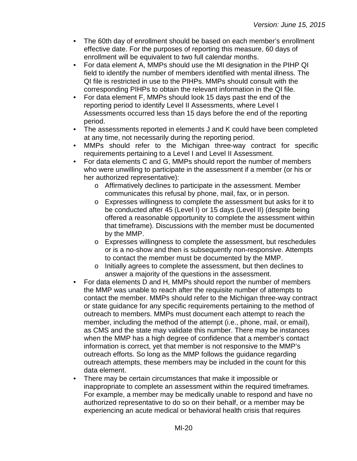- The 60th day of enrollment should be based on each member's enrollment effective date. For the purposes of reporting this measure, 60 days of enrollment will be equivalent to two full calendar months.
- For data element A, MMPs should use the MI designation in the PIHP QI field to identify the number of members identified with mental illness. The QI file is restricted in use to the PIHPs. MMPs should consult with the corresponding PIHPs to obtain the relevant information in the QI file.
- For data element F, MMPs should look 15 days past the end of the reporting period to identify Level II Assessments, where Level I Assessments occurred less than 15 days before the end of the reporting period.
- The assessments reported in elements J and K could have been completed at any time, not necessarily during the reporting period.
- MMPs should refer to the Michigan three-way contract for specific requirements pertaining to a Level I and Level II Assessment.
- For data elements C and G, MMPs should report the number of members who were unwilling to participate in the assessment if a member (or his or her authorized representative):
	- o Affirmatively declines to participate in the assessment. Member communicates this refusal by phone, mail, fax, or in person.
	- o Expresses willingness to complete the assessment but asks for it to be conducted after 45 (Level I) or 15 days (Level II) (despite being offered a reasonable opportunity to complete the assessment within that timeframe). Discussions with the member must be documented by the MMP.
	- o Expresses willingness to complete the assessment, but reschedules or is a no-show and then is subsequently non-responsive. Attempts to contact the member must be documented by the MMP.
	- o Initially agrees to complete the assessment, but then declines to answer a majority of the questions in the assessment.
- For data elements D and H, MMPs should report the number of members the MMP was unable to reach after the requisite number of attempts to contact the member. MMPs should refer to the Michigan three-way contract or state guidance for any specific requirements pertaining to the method of outreach to members. MMPs must document each attempt to reach the member, including the method of the attempt (i.e., phone, mail, or email), as CMS and the state may validate this number. There may be instances when the MMP has a high degree of confidence that a member's contact information is correct, yet that member is not responsive to the MMP's outreach efforts. So long as the MMP follows the guidance regarding outreach attempts, these members may be included in the count for this data element.
- There may be certain circumstances that make it impossible or inappropriate to complete an assessment within the required timeframes. For example, a member may be medically unable to respond and have no authorized representative to do so on their behalf, or a member may be experiencing an acute medical or behavioral health crisis that requires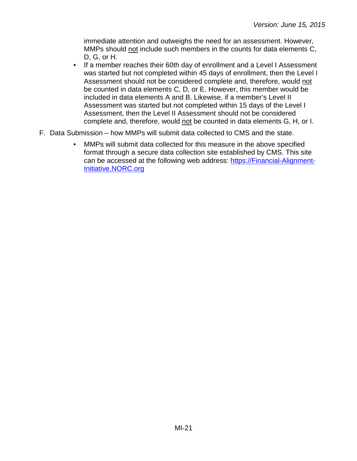immediate attention and outweighs the need for an assessment. However, MMPs should not include such members in the counts for data elements C, D, G, or H.

- If a member reaches their 60th day of enrollment and a Level I Assessment was started but not completed within 45 days of enrollment, then the Level I Assessment should not be considered complete and, therefore, would not be counted in data elements C, D, or E. However, this member would be included in data elements A and B. Likewise, if a member's Level II Assessment was started but not completed within 15 days of the Level I Assessment, then the Level II Assessment should not be considered complete and, therefore, would not be counted in data elements G, H, or I.
- F. Data Submission how MMPs will submit data collected to CMS and the state.
	- MMPs will submit data collected for this measure in the above specified format through a secure data collection site established by CMS. This site can be accessed at the following web address: [https://Financial-Alignment-](https://financial-alignment-initiative.norc.org/)[Initiative.NORC.org](https://financial-alignment-initiative.norc.org/)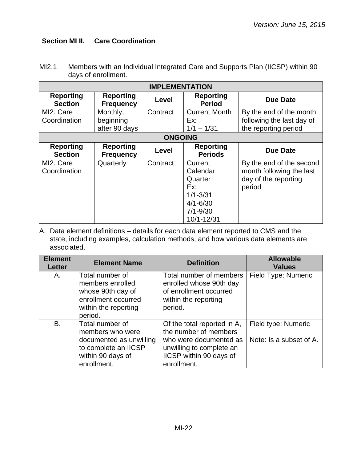#### <span id="page-21-0"></span>**Section MI II. Care Coordination**

| MI2.1 | Members with an Individual Integrated Care and Supports Plan (IICSP) within 90 |
|-------|--------------------------------------------------------------------------------|
|       | days of enrollment.                                                            |

| <b>IMPLEMENTATION</b>              |                                        |                |                                                                                                     |                                                                                        |
|------------------------------------|----------------------------------------|----------------|-----------------------------------------------------------------------------------------------------|----------------------------------------------------------------------------------------|
| <b>Reporting</b><br><b>Section</b> | <b>Reporting</b><br><b>Frequency</b>   | Level          | <b>Reporting</b><br><b>Period</b>                                                                   | Due Date                                                                               |
| MI2. Care<br>Coordination          | Monthly,<br>beginning<br>after 90 days | Contract       | <b>Current Month</b><br>Ex:<br>$1/1 - 1/31$                                                         | By the end of the month<br>following the last day of<br>the reporting period           |
|                                    |                                        | <b>ONGOING</b> |                                                                                                     |                                                                                        |
| <b>Reporting</b><br><b>Section</b> | <b>Reporting</b><br><b>Frequency</b>   | Level          | <b>Reporting</b><br><b>Periods</b>                                                                  | <b>Due Date</b>                                                                        |
| MI2. Care<br>Coordination          | Quarterly                              | Contract       | Current<br>Calendar<br>Quarter<br>Ex:<br>$1/1 - 3/31$<br>$4/1 - 6/30$<br>$7/1 - 9/30$<br>10/1-12/31 | By the end of the second<br>month following the last<br>day of the reporting<br>period |

| <b>Element</b><br><b>Letter</b> | <b>Element Name</b>                                                                                                        | <b>Definition</b>                                                                                                                                    | <b>Allowable</b><br><b>Values</b>              |
|---------------------------------|----------------------------------------------------------------------------------------------------------------------------|------------------------------------------------------------------------------------------------------------------------------------------------------|------------------------------------------------|
| А.                              | Total number of<br>members enrolled<br>whose 90th day of<br>enrollment occurred<br>within the reporting<br>period.         | Total number of members<br>enrolled whose 90th day<br>of enrollment occurred<br>within the reporting<br>period.                                      | Field Type: Numeric                            |
| B.                              | Total number of<br>members who were<br>documented as unwilling<br>to complete an IICSP<br>within 90 days of<br>enrollment. | Of the total reported in A,<br>the number of members<br>who were documented as<br>unwilling to complete an<br>IICSP within 90 days of<br>enrollment. | Field type: Numeric<br>Note: Is a subset of A. |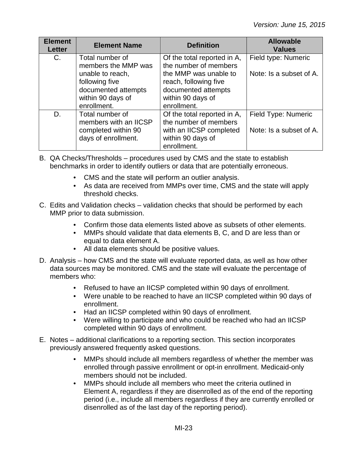| <b>Element</b><br><b>Letter</b> | <b>Element Name</b>                                                                    | <b>Definition</b>                                                                                                   | <b>Allowable</b><br><b>Values</b>              |
|---------------------------------|----------------------------------------------------------------------------------------|---------------------------------------------------------------------------------------------------------------------|------------------------------------------------|
| C.                              | Total number of<br>members the MMP was<br>unable to reach,                             | Of the total reported in A,<br>the number of members<br>the MMP was unable to                                       | Field type: Numeric<br>Note: Is a subset of A. |
|                                 | following five<br>documented attempts<br>within 90 days of<br>enrollment.              | reach, following five<br>documented attempts<br>within 90 days of<br>enrollment.                                    |                                                |
| D.                              | Total number of<br>members with an IICSP<br>completed within 90<br>days of enrollment. | Of the total reported in A,<br>the number of members<br>with an IICSP completed<br>within 90 days of<br>enrollment. | Field Type: Numeric<br>Note: Is a subset of A. |

B. QA Checks/Thresholds – procedures used by CMS and the state to establish benchmarks in order to identify outliers or data that are potentially erroneous.

- CMS and the state will perform an outlier analysis.
- As data are received from MMPs over time, CMS and the state will apply threshold checks.
- C. Edits and Validation checks validation checks that should be performed by each MMP prior to data submission.
	- Confirm those data elements listed above as subsets of other elements.
	- MMPs should validate that data elements B, C, and D are less than or equal to data element A.
	- All data elements should be positive values.
- D. Analysis how CMS and the state will evaluate reported data, as well as how other data sources may be monitored. CMS and the state will evaluate the percentage of members who:
	- Refused to have an IICSP completed within 90 days of enrollment.
	- Were unable to be reached to have an IICSP completed within 90 days of enrollment.
	- Had an IICSP completed within 90 days of enrollment.
	- Were willing to participate and who could be reached who had an IICSP completed within 90 days of enrollment.
- E. Notes additional clarifications to a reporting section. This section incorporates previously answered frequently asked questions.
	- MMPs should include all members regardless of whether the member was enrolled through passive enrollment or opt-in enrollment. Medicaid-only members should not be included.
	- MMPs should include all members who meet the criteria outlined in Element A, regardless if they are disenrolled as of the end of the reporting period (i.e., include all members regardless if they are currently enrolled or disenrolled as of the last day of the reporting period).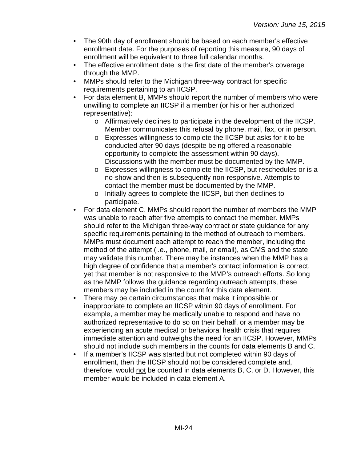- The 90th day of enrollment should be based on each member's effective enrollment date. For the purposes of reporting this measure, 90 days of enrollment will be equivalent to three full calendar months.
- The effective enrollment date is the first date of the member's coverage through the MMP.
- MMPs should refer to the Michigan three-way contract for specific requirements pertaining to an IICSP.
- For data element B, MMPs should report the number of members who were unwilling to complete an IICSP if a member (or his or her authorized representative):
	- o Affirmatively declines to participate in the development of the IICSP. Member communicates this refusal by phone, mail, fax, or in person.
	- o Expresses willingness to complete the IICSP but asks for it to be conducted after 90 days (despite being offered a reasonable opportunity to complete the assessment within 90 days). Discussions with the member must be documented by the MMP.
	- o Expresses willingness to complete the IICSP, but reschedules or is a no-show and then is subsequently non-responsive. Attempts to contact the member must be documented by the MMP.
	- o Initially agrees to complete the IICSP, but then declines to participate.
- For data element C, MMPs should report the number of members the MMP was unable to reach after five attempts to contact the member. MMPs should refer to the Michigan three-way contract or state guidance for any specific requirements pertaining to the method of outreach to members. MMPs must document each attempt to reach the member, including the method of the attempt (i.e., phone, mail, or email), as CMS and the state may validate this number. There may be instances when the MMP has a high degree of confidence that a member's contact information is correct, yet that member is not responsive to the MMP's outreach efforts. So long as the MMP follows the guidance regarding outreach attempts, these members may be included in the count for this data element.
- There may be certain circumstances that make it impossible or inappropriate to complete an IICSP within 90 days of enrollment. For example, a member may be medically unable to respond and have no authorized representative to do so on their behalf, or a member may be experiencing an acute medical or behavioral health crisis that requires immediate attention and outweighs the need for an IICSP. However, MMPs should not include such members in the counts for data elements B and C.
- If a member's IICSP was started but not completed within 90 days of enrollment, then the IICSP should not be considered complete and, therefore, would not be counted in data elements B, C, or D. However, this member would be included in data element A.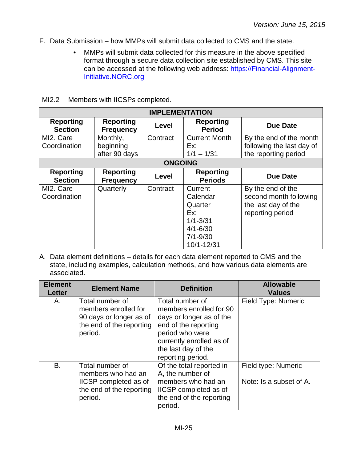- F. Data Submission how MMPs will submit data collected to CMS and the state.
	- MMPs will submit data collected for this measure in the above specified format through a secure data collection site established by CMS. This site can be accessed at the following web address: [https://Financial-Alignment-](https://financial-alignment-initiative.norc.org/)[Initiative.NORC.org](https://financial-alignment-initiative.norc.org/)

|  |  |  |  | MI2.2 Members with IICSPs completed. |
|--|--|--|--|--------------------------------------|
|--|--|--|--|--------------------------------------|

| <b>IMPLEMENTATION</b>              |                                        |          |                                                                                                     |                                                                                        |  |
|------------------------------------|----------------------------------------|----------|-----------------------------------------------------------------------------------------------------|----------------------------------------------------------------------------------------|--|
| <b>Reporting</b><br><b>Section</b> | <b>Reporting</b><br><b>Frequency</b>   | Level    | <b>Reporting</b><br><b>Period</b>                                                                   | <b>Due Date</b>                                                                        |  |
| MI2. Care<br>Coordination          | Monthly,<br>beginning<br>after 90 days | Contract | <b>Current Month</b><br>Ex:<br>$1/1 - 1/31$                                                         | By the end of the month<br>following the last day of<br>the reporting period           |  |
| <b>ONGOING</b>                     |                                        |          |                                                                                                     |                                                                                        |  |
| <b>Reporting</b><br><b>Section</b> | <b>Reporting</b><br><b>Frequency</b>   | Level    | <b>Reporting</b><br><b>Periods</b>                                                                  | <b>Due Date</b>                                                                        |  |
| MI2. Care<br>Coordination          | Quarterly                              | Contract | Current<br>Calendar<br>Quarter<br>Ex:<br>$1/1 - 3/31$<br>$4/1 - 6/30$<br>$7/1 - 9/30$<br>10/1-12/31 | By the end of the<br>second month following<br>the last day of the<br>reporting period |  |

| <b>Element</b><br><b>Letter</b> | <b>Element Name</b>                                                                                       | <b>Definition</b>                                                                                                                                                                         | <b>Allowable</b><br><b>Values</b>              |
|---------------------------------|-----------------------------------------------------------------------------------------------------------|-------------------------------------------------------------------------------------------------------------------------------------------------------------------------------------------|------------------------------------------------|
| А.                              | Total number of<br>members enrolled for<br>90 days or longer as of<br>the end of the reporting<br>period. | Total number of<br>members enrolled for 90<br>days or longer as of the<br>end of the reporting<br>period who were<br>currently enrolled as of<br>the last day of the<br>reporting period. | Field Type: Numeric                            |
| B.                              | Total number of<br>members who had an<br>IICSP completed as of<br>the end of the reporting<br>period.     | Of the total reported in<br>A, the number of<br>members who had an<br>IICSP completed as of<br>the end of the reporting<br>period.                                                        | Field type: Numeric<br>Note: Is a subset of A. |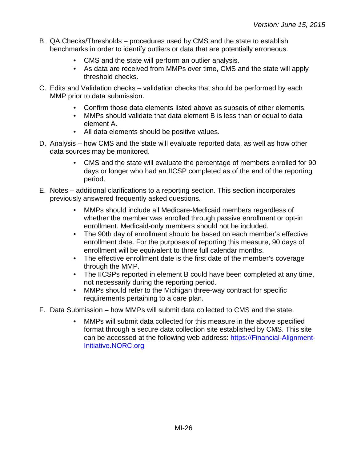- B. QA Checks/Thresholds procedures used by CMS and the state to establish benchmarks in order to identify outliers or data that are potentially erroneous.
	- CMS and the state will perform an outlier analysis.
	- As data are received from MMPs over time, CMS and the state will apply threshold checks.
- C. Edits and Validation checks validation checks that should be performed by each MMP prior to data submission.
	- Confirm those data elements listed above as subsets of other elements.
	- MMPs should validate that data element B is less than or equal to data element A.
	- All data elements should be positive values.
- D. Analysis how CMS and the state will evaluate reported data, as well as how other data sources may be monitored.
	- CMS and the state will evaluate the percentage of members enrolled for 90 days or longer who had an IICSP completed as of the end of the reporting period.
- E. Notes additional clarifications to a reporting section. This section incorporates previously answered frequently asked questions.
	- MMPs should include all Medicare-Medicaid members regardless of whether the member was enrolled through passive enrollment or opt-in enrollment. Medicaid-only members should not be included.
	- The 90th day of enrollment should be based on each member's effective enrollment date. For the purposes of reporting this measure, 90 days of enrollment will be equivalent to three full calendar months.
	- The effective enrollment date is the first date of the member's coverage through the MMP.
	- The IICSPs reported in element B could have been completed at any time, not necessarily during the reporting period.
	- MMPs should refer to the Michigan three-way contract for specific requirements pertaining to a care plan.
- F. Data Submission how MMPs will submit data collected to CMS and the state.
	- MMPs will submit data collected for this measure in the above specified format through a secure data collection site established by CMS. This site can be accessed at the following web address: [https://Financial-Alignment-](https://financial-alignment-initiative.norc.org/)[Initiative.NORC.org](https://financial-alignment-initiative.norc.org/)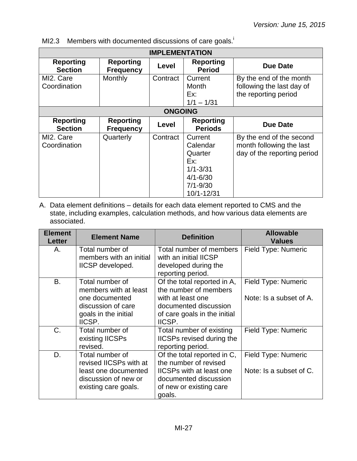MI2.3 Members with documented discussions of care goals.

| <b>IMPLEMENTATION</b>              |                                      |          |                                                                                                     |                                                                                     |  |
|------------------------------------|--------------------------------------|----------|-----------------------------------------------------------------------------------------------------|-------------------------------------------------------------------------------------|--|
| <b>Reporting</b><br><b>Section</b> | <b>Reporting</b><br><b>Frequency</b> | Level    | <b>Reporting</b><br><b>Period</b>                                                                   | <b>Due Date</b>                                                                     |  |
| MI2. Care<br>Coordination          | Monthly                              | Contract | Current<br>Month<br>Ex:<br>$1/1 - 1/31$                                                             | By the end of the month<br>following the last day of<br>the reporting period        |  |
|                                    | <b>ONGOING</b>                       |          |                                                                                                     |                                                                                     |  |
| <b>Reporting</b><br><b>Section</b> | <b>Reporting</b><br><b>Frequency</b> | Level    | <b>Reporting</b><br><b>Periods</b>                                                                  | <b>Due Date</b>                                                                     |  |
| MI2. Care<br>Coordination          | Quarterly                            | Contract | Current<br>Calendar<br>Quarter<br>Ex:<br>$1/1 - 3/31$<br>$4/1 - 6/30$<br>$7/1 - 9/30$<br>10/1-12/31 | By the end of the second<br>month following the last<br>day of the reporting period |  |

| <b>Element</b><br>Letter | <b>Element Name</b>                                                                                                | <b>Definition</b>                                                                                                                                     | <b>Allowable</b><br><b>Values</b>              |
|--------------------------|--------------------------------------------------------------------------------------------------------------------|-------------------------------------------------------------------------------------------------------------------------------------------------------|------------------------------------------------|
| А.                       | Total number of<br>members with an initial<br>IICSP developed.                                                     | Total number of members<br>with an initial IICSP<br>developed during the<br>reporting period.                                                         | Field Type: Numeric                            |
| B.                       | Total number of<br>members with at least<br>one documented<br>discussion of care<br>goals in the initial<br>IICSP. | Of the total reported in A,<br>the number of members<br>with at least one<br>documented discussion<br>of care goals in the initial<br>IICSP.          | Field Type: Numeric<br>Note: Is a subset of A. |
| C.                       | Total number of<br>existing IICSPs<br>revised.                                                                     | Total number of existing<br>IICSPs revised during the<br>reporting period.                                                                            | Field Type: Numeric                            |
| D.                       | Total number of<br>revised IICSPs with at<br>least one documented<br>discussion of new or<br>existing care goals.  | Of the total reported in C,<br>the number of revised<br><b>IICSPs with at least one</b><br>documented discussion<br>of new or existing care<br>goals. | Field Type: Numeric<br>Note: Is a subset of C. |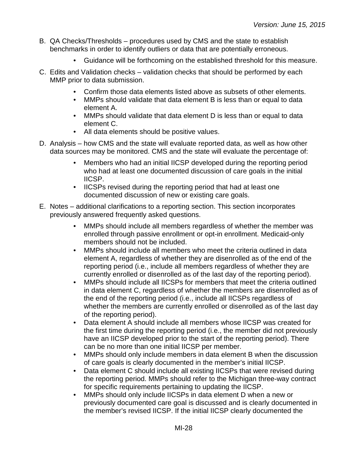- B. QA Checks/Thresholds procedures used by CMS and the state to establish benchmarks in order to identify outliers or data that are potentially erroneous.
	- Guidance will be forthcoming on the established threshold for this measure.
- C. Edits and Validation checks validation checks that should be performed by each MMP prior to data submission.
	- Confirm those data elements listed above as subsets of other elements.
	- MMPs should validate that data element B is less than or equal to data element A.
	- MMPs should validate that data element D is less than or equal to data element C.
	- All data elements should be positive values.
- D. Analysis how CMS and the state will evaluate reported data, as well as how other data sources may be monitored. CMS and the state will evaluate the percentage of:
	- Members who had an initial IICSP developed during the reporting period who had at least one documented discussion of care goals in the initial IICSP.
	- IICSPs revised during the reporting period that had at least one documented discussion of new or existing care goals.
- E. Notes additional clarifications to a reporting section. This section incorporates previously answered frequently asked questions.
	- MMPs should include all members regardless of whether the member was enrolled through passive enrollment or opt-in enrollment. Medicaid-only members should not be included.
	- MMPs should include all members who meet the criteria outlined in data element A, regardless of whether they are disenrolled as of the end of the reporting period (i.e., include all members regardless of whether they are currently enrolled or disenrolled as of the last day of the reporting period).
	- MMPs should include all IICSPs for members that meet the criteria outlined in data element C, regardless of whether the members are disenrolled as of the end of the reporting period (i.e., include all IICSPs regardless of whether the members are currently enrolled or disenrolled as of the last day of the reporting period).
	- Data element A should include all members whose IICSP was created for the first time during the reporting period (i.e., the member did not previously have an IICSP developed prior to the start of the reporting period). There can be no more than one initial IICSP per member.
	- MMPs should only include members in data element B when the discussion of care goals is clearly documented in the member's initial IICSP.
	- Data element C should include all existing IICSPs that were revised during the reporting period. MMPs should refer to the Michigan three-way contract for specific requirements pertaining to updating the IICSP.
	- MMPs should only include IICSPs in data element D when a new or previously documented care goal is discussed and is clearly documented in the member's revised IICSP. If the initial IICSP clearly documented the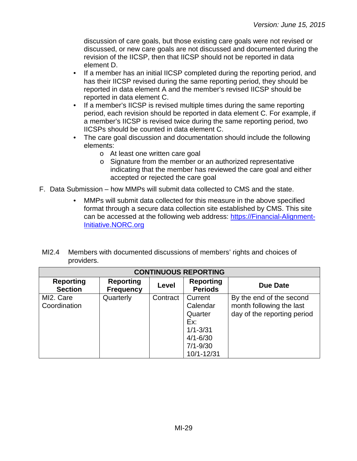discussion of care goals, but those existing care goals were not revised or discussed, or new care goals are not discussed and documented during the revision of the IICSP, then that IICSP should not be reported in data element D.

- If a member has an initial IICSP completed during the reporting period, and has their IICSP revised during the same reporting period, they should be reported in data element A and the member's revised IICSP should be reported in data element C.
- If a member's IICSP is revised multiple times during the same reporting period, each revision should be reported in data element C. For example, if a member's IICSP is revised twice during the same reporting period, two IICSPs should be counted in data element C.
- The care goal discussion and documentation should include the following elements:
	- o At least one written care goal
	- o Signature from the member or an authorized representative indicating that the member has reviewed the care goal and either accepted or rejected the care goal
- F. Data Submission how MMPs will submit data collected to CMS and the state.
	- MMPs will submit data collected for this measure in the above specified format through a secure data collection site established by CMS. This site can be accessed at the following web address: [https://Financial-Alignment-](https://financial-alignment-initiative.norc.org/)[Initiative.NORC.org](https://financial-alignment-initiative.norc.org/)

| Ml2.4 | Members with documented discussions of members' rights and choices of |
|-------|-----------------------------------------------------------------------|
|       | providers.                                                            |

| <b>CONTINUOUS REPORTING</b>        |                                      |          |                                    |                             |  |
|------------------------------------|--------------------------------------|----------|------------------------------------|-----------------------------|--|
| <b>Reporting</b><br><b>Section</b> | <b>Reporting</b><br><b>Frequency</b> | Level    | <b>Reporting</b><br><b>Periods</b> | Due Date                    |  |
| MI2. Care                          | Quarterly                            | Contract | Current                            | By the end of the second    |  |
| Coordination                       |                                      |          | Calendar                           | month following the last    |  |
|                                    |                                      |          | Quarter                            | day of the reporting period |  |
|                                    |                                      |          | Ex:                                |                             |  |
|                                    |                                      |          | $1/1 - 3/31$                       |                             |  |
|                                    |                                      |          | $4/1 - 6/30$                       |                             |  |
|                                    |                                      |          | $7/1 - 9/30$                       |                             |  |
|                                    |                                      |          | 10/1-12/31                         |                             |  |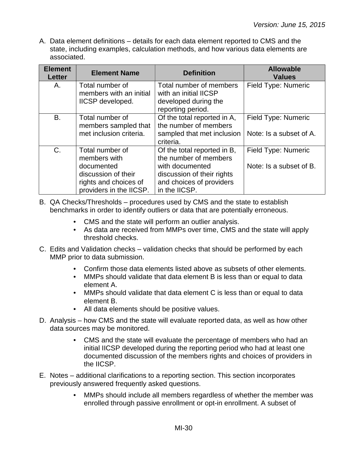| <b>Element</b><br><b>Letter</b> | <b>Element Name</b>                                                                                                      | <b>Definition</b>                                                                                                                                  | <b>Allowable</b><br><b>Values</b>              |
|---------------------------------|--------------------------------------------------------------------------------------------------------------------------|----------------------------------------------------------------------------------------------------------------------------------------------------|------------------------------------------------|
| А.                              | Total number of<br>members with an initial<br>IICSP developed.                                                           | Total number of members<br>with an initial IICSP<br>developed during the<br>reporting period.                                                      | Field Type: Numeric                            |
| <b>B.</b>                       | Total number of<br>members sampled that<br>met inclusion criteria.                                                       | Of the total reported in A,<br>the number of members<br>sampled that met inclusion<br>criteria.                                                    | Field Type: Numeric<br>Note: Is a subset of A. |
| $C_{\cdot}$                     | Total number of<br>members with<br>documented<br>discussion of their<br>rights and choices of<br>providers in the IICSP. | Of the total reported in B,<br>the number of members<br>with documented<br>discussion of their rights<br>and choices of providers<br>in the IICSP. | Field Type: Numeric<br>Note: Is a subset of B. |

- B. QA Checks/Thresholds procedures used by CMS and the state to establish benchmarks in order to identify outliers or data that are potentially erroneous.
	- CMS and the state will perform an outlier analysis.
	- As data are received from MMPs over time, CMS and the state will apply threshold checks.
- C. Edits and Validation checks validation checks that should be performed by each MMP prior to data submission.
	- Confirm those data elements listed above as subsets of other elements.
	- MMPs should validate that data element B is less than or equal to data element A.
	- MMPs should validate that data element C is less than or equal to data element B.
	- All data elements should be positive values.
- D. Analysis how CMS and the state will evaluate reported data, as well as how other data sources may be monitored.
	- CMS and the state will evaluate the percentage of members who had an initial IICSP developed during the reporting period who had at least one documented discussion of the members rights and choices of providers in the IICSP.
- E. Notes additional clarifications to a reporting section. This section incorporates previously answered frequently asked questions.
	- MMPs should include all members regardless of whether the member was enrolled through passive enrollment or opt-in enrollment. A subset of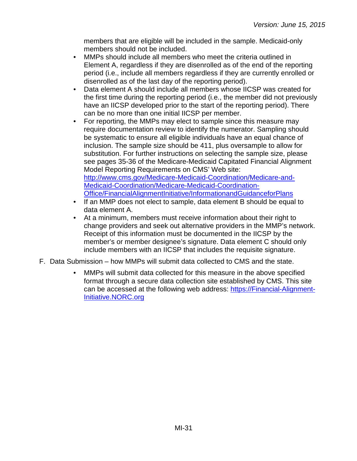members that are eligible will be included in the sample. Medicaid-only members should not be included.

- MMPs should include all members who meet the criteria outlined in Element A, regardless if they are disenrolled as of the end of the reporting period (i.e., include all members regardless if they are currently enrolled or disenrolled as of the last day of the reporting period).
- Data element A should include all members whose IICSP was created for the first time during the reporting period (i.e., the member did not previously have an IICSP developed prior to the start of the reporting period). There can be no more than one initial IICSP per member.
- For reporting, the MMPs may elect to sample since this measure may require documentation review to identify the numerator. Sampling should be systematic to ensure all eligible individuals have an equal chance of inclusion. The sample size should be 411, plus oversample to allow for substitution. For further instructions on selecting the sample size, please see pages 35-36 of the Medicare-Medicaid Capitated Financial Alignment Model Reporting Requirements on CMS' Web site: [http://www.cms.gov/Medicare-Medicaid-Coordination/Medicare-and-](http://www.cms.gov/Medicare-Medicaid-Coordination/Medicare-and-Medicaid-Coordination/Medicare-Medicaid-Coordination-Office/FinancialAlignmentInitiative/InformationandGuidanceforPlans)[Medicaid-Coordination/Medicare-Medicaid-Coordination-](http://www.cms.gov/Medicare-Medicaid-Coordination/Medicare-and-Medicaid-Coordination/Medicare-Medicaid-Coordination-Office/FinancialAlignmentInitiative/InformationandGuidanceforPlans)[Office/FinancialAlignmentInitiative/InformationandGuidanceforPlans](http://www.cms.gov/Medicare-Medicaid-Coordination/Medicare-and-Medicaid-Coordination/Medicare-Medicaid-Coordination-Office/FinancialAlignmentInitiative/InformationandGuidanceforPlans)
- If an MMP does not elect to sample, data element B should be equal to data element A.
- At a minimum, members must receive information about their right to change providers and seek out alternative providers in the MMP's network. Receipt of this information must be documented in the IICSP by the member's or member designee's signature. Data element C should only include members with an IICSP that includes the requisite signature.
- F. Data Submission how MMPs will submit data collected to CMS and the state.
	- MMPs will submit data collected for this measure in the above specified format through a secure data collection site established by CMS. This site can be accessed at the following web address: [https://Financial-Alignment-](https://financial-alignment-initiative.norc.org/)[Initiative.NORC.org](https://financial-alignment-initiative.norc.org/)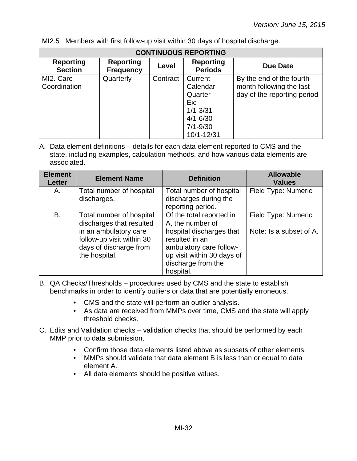MI2.5 Members with first follow-up visit within 30 days of hospital discharge.

| <b>CONTINUOUS REPORTING</b>        |                                      |          |                                                                                                     |                                                                                     |  |
|------------------------------------|--------------------------------------|----------|-----------------------------------------------------------------------------------------------------|-------------------------------------------------------------------------------------|--|
| <b>Reporting</b><br><b>Section</b> | <b>Reporting</b><br><b>Frequency</b> | Level    | <b>Reporting</b><br><b>Periods</b>                                                                  | Due Date                                                                            |  |
| MI2. Care<br>Coordination          | Quarterly                            | Contract | Current<br>Calendar<br>Quarter<br>Ex:<br>$1/1 - 3/31$<br>$4/1 - 6/30$<br>$7/1 - 9/30$<br>10/1-12/31 | By the end of the fourth<br>month following the last<br>day of the reporting period |  |

A. Data element definitions – details for each data element reported to CMS and the state, including examples, calculation methods, and how various data elements are associated.

| <b>Element</b><br><b>Letter</b> | <b>Element Name</b>                                                                                                                                   | <b>Definition</b>                                                                                                                                                                      | <b>Allowable</b><br><b>Values</b>              |
|---------------------------------|-------------------------------------------------------------------------------------------------------------------------------------------------------|----------------------------------------------------------------------------------------------------------------------------------------------------------------------------------------|------------------------------------------------|
| Α.                              | Total number of hospital<br>discharges.                                                                                                               | Total number of hospital<br>discharges during the<br>reporting period.                                                                                                                 | Field Type: Numeric                            |
| В.                              | Total number of hospital<br>discharges that resulted<br>in an ambulatory care<br>follow-up visit within 30<br>days of discharge from<br>the hospital. | Of the total reported in<br>A, the number of<br>hospital discharges that<br>resulted in an<br>ambulatory care follow-<br>up visit within 30 days of<br>discharge from the<br>hospital. | Field Type: Numeric<br>Note: Is a subset of A. |

B. QA Checks/Thresholds – procedures used by CMS and the state to establish benchmarks in order to identify outliers or data that are potentially erroneous.

- CMS and the state will perform an outlier analysis.
- As data are received from MMPs over time, CMS and the state will apply threshold checks.
- C. Edits and Validation checks validation checks that should be performed by each MMP prior to data submission.
	- Confirm those data elements listed above as subsets of other elements.
	- MMPs should validate that data element B is less than or equal to data element A.
	- All data elements should be positive values.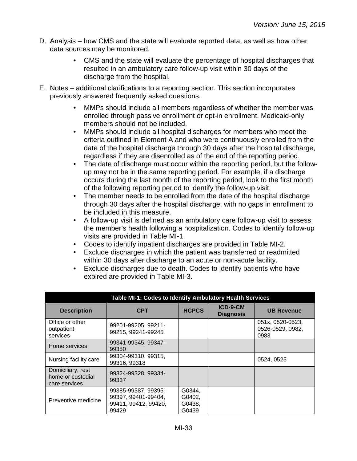- D. Analysis how CMS and the state will evaluate reported data, as well as how other data sources may be monitored.
	- CMS and the state will evaluate the percentage of hospital discharges that resulted in an ambulatory care follow-up visit within 30 days of the discharge from the hospital.
- E. Notes additional clarifications to a reporting section. This section incorporates previously answered frequently asked questions.
	- MMPs should include all members regardless of whether the member was enrolled through passive enrollment or opt-in enrollment. Medicaid-only members should not be included.
	- MMPs should include all hospital discharges for members who meet the criteria outlined in Element A and who were continuously enrolled from the date of the hospital discharge through 30 days after the hospital discharge, regardless if they are disenrolled as of the end of the reporting period.
	- The date of discharge must occur within the reporting period, but the followup may not be in the same reporting period. For example, if a discharge occurs during the last month of the reporting period, look to the first month of the following reporting period to identify the follow-up visit.
	- The member needs to be enrolled from the date of the hospital discharge through 30 days after the hospital discharge, with no gaps in enrollment to be included in this measure.
	- A follow-up visit is defined as an ambulatory care follow-up visit to assess the member's health following a hospitalization. Codes to identify follow-up visits are provided in Table MI-1.
	- Codes to identify inpatient discharges are provided in Table MI-2.
	- Exclude discharges in which the patient was transferred or readmitted within 30 days after discharge to an acute or non-acute facility.
	- Exclude discharges due to death. Codes to identify patients who have expired are provided in Table MI-3.

| Table MI-1: Codes to Identify Ambulatory Health Services |                                                                             |                                     |                              |                                              |  |  |
|----------------------------------------------------------|-----------------------------------------------------------------------------|-------------------------------------|------------------------------|----------------------------------------------|--|--|
| <b>Description</b>                                       | <b>CPT</b>                                                                  | <b>HCPCS</b>                        | ICD-9-CM<br><b>Diagnosis</b> | <b>UB Revenue</b>                            |  |  |
| Office or other<br>outpatient<br>services                | 99201-99205, 99211-<br>99215, 99241-99245                                   |                                     |                              | 051x, 0520-0523,<br>0526-0529, 0982,<br>0983 |  |  |
| Home services                                            | 99341-99345, 99347-<br>99350                                                |                                     |                              |                                              |  |  |
| Nursing facility care                                    | 99304-99310, 99315,<br>99316, 99318                                         |                                     |                              | 0524, 0525                                   |  |  |
| Domiciliary, rest<br>home or custodial<br>care services  | 99324-99328, 99334-<br>99337                                                |                                     |                              |                                              |  |  |
| Preventive medicine                                      | 99385-99387, 99395-<br>99397, 99401-99404,<br>99411, 99412, 99420,<br>99429 | G0344,<br>G0402,<br>G0438,<br>G0439 |                              |                                              |  |  |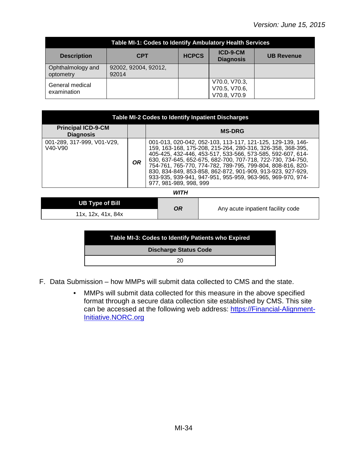| Table MI-1: Codes to Identify Ambulatory Health Services |                               |              |                                                |                   |  |  |
|----------------------------------------------------------|-------------------------------|--------------|------------------------------------------------|-------------------|--|--|
| <b>Description</b>                                       | <b>CPT</b>                    | <b>HCPCS</b> | ICD-9-CM<br><b>Diagnosis</b>                   | <b>UB Revenue</b> |  |  |
| Ophthalmology and<br>optometry                           | 92002, 92004, 92012,<br>92014 |              |                                                |                   |  |  |
| General medical<br>examination                           |                               |              | V70.0, V70.3,<br>V70.5, V70.6,<br>V70.8, V70.9 |                   |  |  |

| <b>Table MI-2 Codes to Identify Inpatient Discharges</b>       |           |                                                                                                                                                                                                                                                                                                                                                                                                                                                                       |  |  |  |
|----------------------------------------------------------------|-----------|-----------------------------------------------------------------------------------------------------------------------------------------------------------------------------------------------------------------------------------------------------------------------------------------------------------------------------------------------------------------------------------------------------------------------------------------------------------------------|--|--|--|
| <b>Principal ICD-9-CM</b><br><b>Diagnosis</b>                  |           | <b>MS-DRG</b>                                                                                                                                                                                                                                                                                                                                                                                                                                                         |  |  |  |
| 001-289, 317-999, V01-V29,<br>V <sub>40</sub> -V <sub>90</sub> | <b>OR</b> | 001-013, 020-042, 052-103, 113-117, 121-125, 129-139, 146-<br>159, 163-168, 175-208, 215-264, 280-316, 326-358, 368-395,<br>405-425, 432-446, 453-517, 533-566, 573-585, 592-607, 614-<br>630, 637-645, 652-675, 682-700, 707-718, 722-730, 734-750,<br>754-761, 765-770, 774-782, 789-795, 799-804, 808-816, 820-<br>830, 834-849, 853-858, 862-872, 901-909, 913-923, 927-929,<br>933-935, 939-941, 947-951, 955-959, 963-965, 969-970, 974-<br>977.981-989.998.999 |  |  |  |
| WITH                                                           |           |                                                                                                                                                                                                                                                                                                                                                                                                                                                                       |  |  |  |

| UB Type of Bill    | <b>OR</b> | Any acute inpatient facility code |
|--------------------|-----------|-----------------------------------|
| 11x, 12x, 41x, 84x |           |                                   |

| Table MI-3: Codes to Identify Patients who Expired |
|----------------------------------------------------|
| <b>Discharge Status Code</b>                       |
| 20                                                 |

- F. Data Submission how MMPs will submit data collected to CMS and the state.
	- MMPs will submit data collected for this measure in the above specified format through a secure data collection site established by CMS. This site can be accessed at the following web address: [https://Financial-Alignment-](https://financial-alignment-initiative.norc.org/)[Initiative.NORC.org](https://financial-alignment-initiative.norc.org/)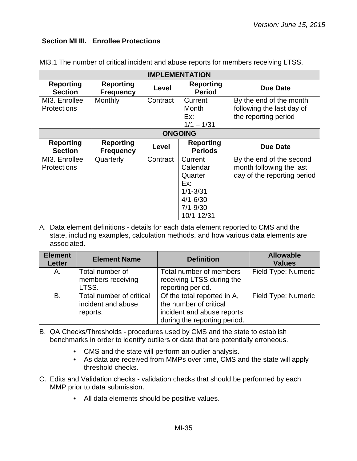## <span id="page-34-0"></span>**Section MI III. Enrollee Protections**

| <b>IMPLEMENTATION</b>               |                                      |          |                                                                                                     |                                                                                     |  |
|-------------------------------------|--------------------------------------|----------|-----------------------------------------------------------------------------------------------------|-------------------------------------------------------------------------------------|--|
| <b>Reporting</b><br><b>Section</b>  | <b>Reporting</b><br><b>Frequency</b> | Level    | <b>Reporting</b><br><b>Period</b>                                                                   | <b>Due Date</b>                                                                     |  |
| MI3. Enrollee<br><b>Protections</b> | Monthly                              | Contract | Current<br><b>Month</b><br>Ex:<br>$1/1 - 1/31$                                                      | By the end of the month<br>following the last day of<br>the reporting period        |  |
| <b>ONGOING</b>                      |                                      |          |                                                                                                     |                                                                                     |  |
| <b>Reporting</b><br><b>Section</b>  | <b>Reporting</b><br><b>Frequency</b> | Level    | <b>Reporting</b><br><b>Periods</b>                                                                  | <b>Due Date</b>                                                                     |  |
| MI3. Enrollee<br><b>Protections</b> | Quarterly                            | Contract | Current<br>Calendar<br>Quarter<br>Ex:<br>$1/1 - 3/31$<br>$4/1 - 6/30$<br>$7/1 - 9/30$<br>10/1-12/31 | By the end of the second<br>month following the last<br>day of the reporting period |  |

MI3.1 The number of critical incident and abuse reports for members receiving LTSS.

| <b>Element</b><br><b>Letter</b> | <b>Element Name</b>      | <b>Definition</b>            | <b>Allowable</b><br><b>Values</b> |
|---------------------------------|--------------------------|------------------------------|-----------------------------------|
| A.                              | Total number of          | Total number of members      | Field Type: Numeric               |
|                                 | members receiving        | receiving LTSS during the    |                                   |
|                                 | LTSS.                    | reporting period.            |                                   |
| B.                              | Total number of critical | Of the total reported in A,  | Field Type: Numeric               |
|                                 | incident and abuse       | the number of critical       |                                   |
|                                 | reports.                 | incident and abuse reports   |                                   |
|                                 |                          | during the reporting period. |                                   |

- B. QA Checks/Thresholds procedures used by CMS and the state to establish benchmarks in order to identify outliers or data that are potentially erroneous.
	- CMS and the state will perform an outlier analysis.
	- As data are received from MMPs over time, CMS and the state will apply threshold checks.
- C. Edits and Validation checks validation checks that should be performed by each MMP prior to data submission.
	- All data elements should be positive values.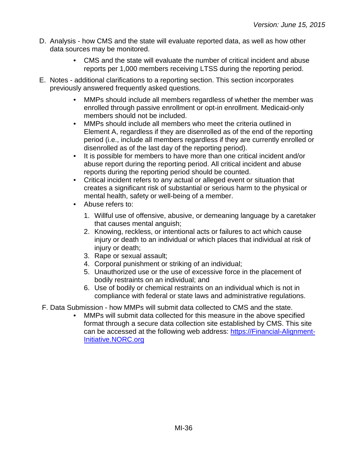- D. Analysis how CMS and the state will evaluate reported data, as well as how other data sources may be monitored.
	- CMS and the state will evaluate the number of critical incident and abuse reports per 1,000 members receiving LTSS during the reporting period.
- E. Notes additional clarifications to a reporting section. This section incorporates previously answered frequently asked questions.
	- MMPs should include all members regardless of whether the member was enrolled through passive enrollment or opt-in enrollment. Medicaid-only members should not be included.
	- MMPs should include all members who meet the criteria outlined in Element A, regardless if they are disenrolled as of the end of the reporting period (i.e., include all members regardless if they are currently enrolled or disenrolled as of the last day of the reporting period).
	- It is possible for members to have more than one critical incident and/or abuse report during the reporting period. All critical incident and abuse reports during the reporting period should be counted.
	- Critical incident refers to any actual or alleged event or situation that creates a significant risk of substantial or serious harm to the physical or mental health, safety or well-being of a member.
	- Abuse refers to:
		- 1. Willful use of offensive, abusive, or demeaning language by a caretaker that causes mental anguish;
		- 2. Knowing, reckless, or intentional acts or failures to act which cause injury or death to an individual or which places that individual at risk of injury or death;
		- 3. Rape or sexual assault;
		- 4. Corporal punishment or striking of an individual;
		- 5. Unauthorized use or the use of excessive force in the placement of bodily restraints on an individual; and
		- 6. Use of bodily or chemical restraints on an individual which is not in compliance with federal or state laws and administrative regulations.
- F. Data Submission how MMPs will submit data collected to CMS and the state.
	- MMPs will submit data collected for this measure in the above specified format through a secure data collection site established by CMS. This site can be accessed at the following web address: [https://Financial-Alignment-](https://financial-alignment-initiative.norc.org/)[Initiative.NORC.org](https://financial-alignment-initiative.norc.org/)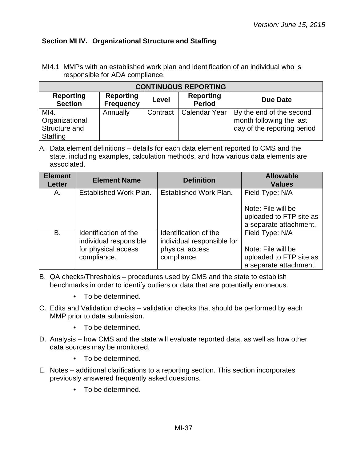## <span id="page-36-0"></span>**Section MI IV. Organizational Structure and Staffing**

MI4.1 MMPs with an established work plan and identification of an individual who is responsible for ADA compliance.

| <b>CONTINUOUS REPORTING</b>                         |                                      |          |                                   |                                                                                     |  |  |
|-----------------------------------------------------|--------------------------------------|----------|-----------------------------------|-------------------------------------------------------------------------------------|--|--|
| <b>Reporting</b><br><b>Section</b>                  | <b>Reporting</b><br><b>Frequency</b> | Level    | <b>Reporting</b><br><b>Period</b> | Due Date                                                                            |  |  |
| MI4.<br>Organizational<br>Structure and<br>Staffing | Annually                             | Contract | <b>Calendar Year</b>              | By the end of the second<br>month following the last<br>day of the reporting period |  |  |

| <b>Element</b><br><b>Letter</b> | <b>Element Name</b>                                                                   | <b>Definition</b>                                                                     | <b>Allowable</b><br><b>Values</b>                                                          |
|---------------------------------|---------------------------------------------------------------------------------------|---------------------------------------------------------------------------------------|--------------------------------------------------------------------------------------------|
| Α.                              | Established Work Plan.                                                                | Established Work Plan.                                                                | Field Type: N/A                                                                            |
|                                 |                                                                                       |                                                                                       | Note: File will be<br>uploaded to FTP site as<br>a separate attachment.                    |
| B.                              | Identification of the<br>individual responsible<br>for physical access<br>compliance. | Identification of the<br>individual responsible for<br>physical access<br>compliance. | Field Type: N/A<br>Note: File will be<br>uploaded to FTP site as<br>a separate attachment. |

- B. QA checks/Thresholds procedures used by CMS and the state to establish benchmarks in order to identify outliers or data that are potentially erroneous.
	- To be determined.
- C. Edits and Validation checks validation checks that should be performed by each MMP prior to data submission.
	- To be determined.
- D. Analysis how CMS and the state will evaluate reported data, as well as how other data sources may be monitored.
	- To be determined.
- E. Notes additional clarifications to a reporting section. This section incorporates previously answered frequently asked questions.
	- To be determined.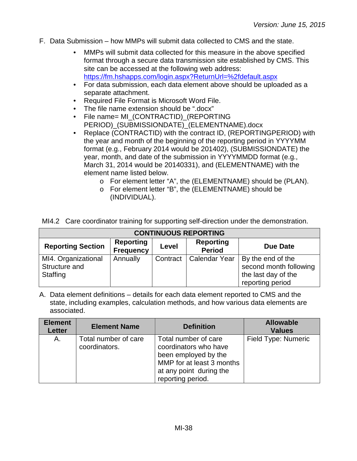- F. Data Submission how MMPs will submit data collected to CMS and the state.
	- MMPs will submit data collected for this measure in the above specified format through a secure data transmission site established by CMS. This site can be accessed at the following web address: <https://fm.hshapps.com/login.aspx?ReturnUrl=%2fdefault.aspx>
	- For data submission, each data element above should be uploaded as a separate attachment.
	- Required File Format is Microsoft Word File.
	- The file name extension should be ".docx"
	- File name= MI\_(CONTRACTID)\_(REPORTING PERIOD)\_(SUBMISSIONDATE)\_(ELEMENTNAME).docx
	- Replace (CONTRACTID) with the contract ID, (REPORTINGPERIOD) with the year and month of the beginning of the reporting period in YYYYMM format (e.g., February 2014 would be 201402), (SUBMISSIONDATE) the year, month, and date of the submission in YYYYMMDD format (e.g., March 31, 2014 would be 20140331), and (ELEMENTNAME) with the element name listed below.
		- o For element letter "A", the (ELEMENTNAME) should be (PLAN).
		- o For element letter "B", the (ELEMENTNAME) should be (INDIVIDUAL).

| MI4.2 Care coordinator training for supporting self-direction under the demonstration. |  |  |  |
|----------------------------------------------------------------------------------------|--|--|--|
|                                                                                        |  |  |  |

| <b>CONTINUOUS REPORTING</b>                      |                                      |          |                                   |                                                                                        |  |  |
|--------------------------------------------------|--------------------------------------|----------|-----------------------------------|----------------------------------------------------------------------------------------|--|--|
| <b>Reporting Section</b>                         | <b>Reporting</b><br><b>Frequency</b> | Level    | <b>Reporting</b><br><b>Period</b> | Due Date                                                                               |  |  |
| MI4. Organizational<br>Structure and<br>Staffing | Annually                             | Contract | <b>Calendar Year</b>              | By the end of the<br>second month following<br>the last day of the<br>reporting period |  |  |

| <b>Element</b><br><b>Letter</b> | <b>Element Name</b>                   | <b>Definition</b>                                                                                                                                  | <b>Allowable</b><br><b>Values</b> |
|---------------------------------|---------------------------------------|----------------------------------------------------------------------------------------------------------------------------------------------------|-----------------------------------|
| А.                              | Total number of care<br>coordinators. | Total number of care<br>coordinators who have<br>been employed by the<br>MMP for at least 3 months<br>at any point during the<br>reporting period. | Field Type: Numeric               |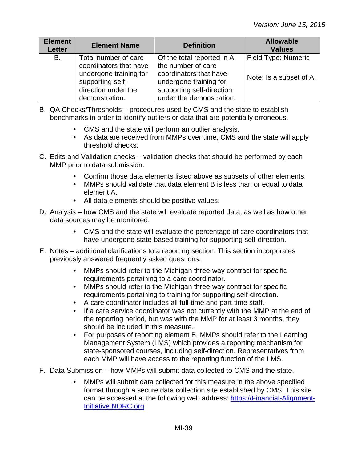| <b>Element</b><br><b>Letter</b> | <b>Element Name</b>                                                                                                                   | <b>Definition</b>                                                                                                                                              | <b>Allowable</b><br><b>Values</b>              |
|---------------------------------|---------------------------------------------------------------------------------------------------------------------------------------|----------------------------------------------------------------------------------------------------------------------------------------------------------------|------------------------------------------------|
| B.                              | Total number of care<br>coordinators that have<br>undergone training for<br>supporting self-<br>direction under the<br>demonstration. | Of the total reported in A,<br>the number of care<br>coordinators that have<br>undergone training for<br>supporting self-direction<br>under the demonstration. | Field Type: Numeric<br>Note: Is a subset of A. |

- B. QA Checks/Thresholds procedures used by CMS and the state to establish benchmarks in order to identify outliers or data that are potentially erroneous.
	- CMS and the state will perform an outlier analysis.
	- As data are received from MMPs over time, CMS and the state will apply threshold checks.
- C. Edits and Validation checks validation checks that should be performed by each MMP prior to data submission.
	- Confirm those data elements listed above as subsets of other elements.
	- MMPs should validate that data element B is less than or equal to data element A.
	- All data elements should be positive values.
- D. Analysis how CMS and the state will evaluate reported data, as well as how other data sources may be monitored.
	- CMS and the state will evaluate the percentage of care coordinators that have undergone state-based training for supporting self-direction.
- E. Notes additional clarifications to a reporting section. This section incorporates previously answered frequently asked questions.
	- MMPs should refer to the Michigan three-way contract for specific requirements pertaining to a care coordinator.
	- MMPs should refer to the Michigan three-way contract for specific requirements pertaining to training for supporting self-direction.
	- A care coordinator includes all full-time and part-time staff.
	- If a care service coordinator was not currently with the MMP at the end of the reporting period, but was with the MMP for at least 3 months, they should be included in this measure.
	- For purposes of reporting element B, MMPs should refer to the Learning Management System (LMS) which provides a reporting mechanism for state-sponsored courses, including self-direction. Representatives from each MMP will have access to the reporting function of the LMS.
- F. Data Submission how MMPs will submit data collected to CMS and the state.
	- MMPs will submit data collected for this measure in the above specified format through a secure data collection site established by CMS. This site can be accessed at the following web address: [https://Financial-Alignment-](https://financial-alignment-initiative.norc.org/)[Initiative.NORC.org](https://financial-alignment-initiative.norc.org/)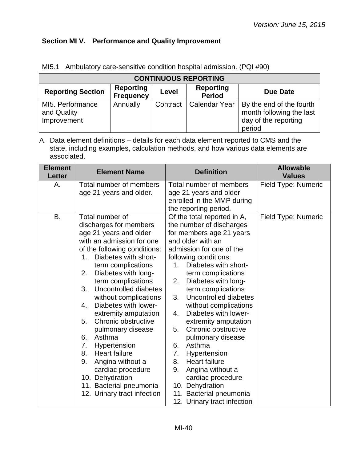# <span id="page-39-0"></span>**Section MI V. Performance and Quality Improvement**

| <b>CONTINUOUS REPORTING</b>                    |                                      |          |                                   |                                                                                        |
|------------------------------------------------|--------------------------------------|----------|-----------------------------------|----------------------------------------------------------------------------------------|
| <b>Reporting Section</b>                       | <b>Reporting</b><br><b>Frequency</b> | Level    | <b>Reporting</b><br><b>Period</b> | Due Date                                                                               |
| MI5. Performance<br>and Quality<br>Improvement | Annually                             | Contract | <b>Calendar Year</b>              | By the end of the fourth<br>month following the last<br>day of the reporting<br>period |

MI5.1 Ambulatory care-sensitive condition hospital admission. (PQI #90)

| <b>Element</b><br><b>Letter</b> | <b>Element Name</b>                                                                                                                                                                                                                                                                                                                                                                                                                                                                                                                                                                                     | <b>Definition</b>                                                                                                                                                                                                                                                                                                                                                                                                                                                                                                                                                                                                                    | <b>Allowable</b><br><b>Values</b> |
|---------------------------------|---------------------------------------------------------------------------------------------------------------------------------------------------------------------------------------------------------------------------------------------------------------------------------------------------------------------------------------------------------------------------------------------------------------------------------------------------------------------------------------------------------------------------------------------------------------------------------------------------------|--------------------------------------------------------------------------------------------------------------------------------------------------------------------------------------------------------------------------------------------------------------------------------------------------------------------------------------------------------------------------------------------------------------------------------------------------------------------------------------------------------------------------------------------------------------------------------------------------------------------------------------|-----------------------------------|
| А.                              | Total number of members<br>age 21 years and older.                                                                                                                                                                                                                                                                                                                                                                                                                                                                                                                                                      | Total number of members<br>age 21 years and older<br>enrolled in the MMP during<br>the reporting period.                                                                                                                                                                                                                                                                                                                                                                                                                                                                                                                             | Field Type: Numeric               |
| B.                              | Total number of<br>discharges for members<br>age 21 years and older<br>with an admission for one<br>of the following conditions:<br>Diabetes with short-<br>1.<br>term complications<br>2.<br>Diabetes with long-<br>term complications<br>3.<br>Uncontrolled diabetes<br>without complications<br>Diabetes with lower-<br>4.<br>extremity amputation<br>Chronic obstructive<br>5.<br>pulmonary disease<br>Asthma<br>6.<br>7.<br>Hypertension<br>8.<br><b>Heart failure</b><br>9.<br>Angina without a<br>cardiac procedure<br>10. Dehydration<br>11. Bacterial pneumonia<br>12. Urinary tract infection | Of the total reported in A,<br>the number of discharges<br>for members age 21 years<br>and older with an<br>admission for one of the<br>following conditions:<br>Diabetes with short-<br>1.<br>term complications<br>Diabetes with long-<br>2.<br>term complications<br>Uncontrolled diabetes<br>3.<br>without complications<br>Diabetes with lower-<br>4.<br>extremity amputation<br>Chronic obstructive<br>5.<br>pulmonary disease<br>6.<br>Asthma<br>7.<br>Hypertension<br>8.<br><b>Heart failure</b><br>9.<br>Angina without a<br>cardiac procedure<br>10. Dehydration<br>11. Bacterial pneumonia<br>12. Urinary tract infection | Field Type: Numeric               |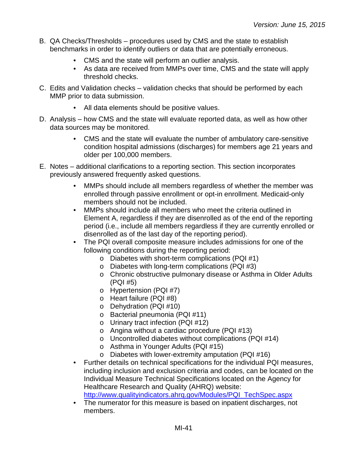- B. QA Checks/Thresholds procedures used by CMS and the state to establish benchmarks in order to identify outliers or data that are potentially erroneous.
	- CMS and the state will perform an outlier analysis.
	- As data are received from MMPs over time, CMS and the state will apply threshold checks.
- C. Edits and Validation checks validation checks that should be performed by each MMP prior to data submission.
	- All data elements should be positive values.
- D. Analysis how CMS and the state will evaluate reported data, as well as how other data sources may be monitored.
	- CMS and the state will evaluate the number of ambulatory care-sensitive condition hospital admissions (discharges) for members age 21 years and older per 100,000 members.
- E. Notes additional clarifications to a reporting section. This section incorporates previously answered frequently asked questions.
	- MMPs should include all members regardless of whether the member was enrolled through passive enrollment or opt-in enrollment. Medicaid-only members should not be included.
	- MMPs should include all members who meet the criteria outlined in Element A, regardless if they are disenrolled as of the end of the reporting period (i.e., include all members regardless if they are currently enrolled or disenrolled as of the last day of the reporting period).
	- The PQI overall composite measure includes admissions for one of the following conditions during the reporting period:
		- o Diabetes with short-term complications (PQI #1)
		- o Diabetes with long-term complications (PQI #3)
		- o Chronic obstructive pulmonary disease or Asthma in Older Adults (PQI #5)
		- o Hypertension (PQI #7)
		- o Heart failure (PQI #8)
		- o Dehydration (PQI #10)
		- o Bacterial pneumonia (PQI #11)
		- o Urinary tract infection (PQI #12)
		- o Angina without a cardiac procedure (PQI #13)
		- o Uncontrolled diabetes without complications (PQI #14)
		- o Asthma in Younger Adults (PQI #15)
		- o Diabetes with lower-extremity amputation (PQI #16)
	- Further details on technical specifications for the individual PQI measures, including inclusion and exclusion criteria and codes, can be located on the Individual Measure Technical Specifications located on the Agency for Healthcare Research and Quality (AHRQ) website: [http://www.qualityindicators.ahrq.gov/Modules/PQI\\_TechSpec.aspx](http://www.qualityindicators.ahrq.gov/Modules/PQI_TechSpec.aspx)
	- The numerator for this measure is based on inpatient discharges, not members.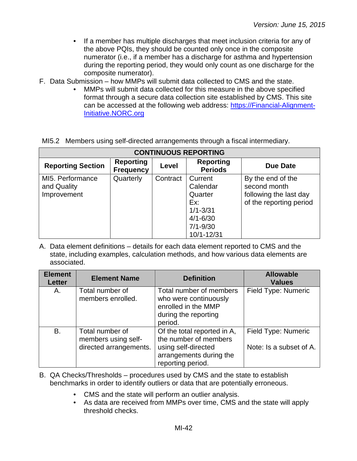- If a member has multiple discharges that meet inclusion criteria for any of the above PQIs, they should be counted only once in the composite numerator (i.e., if a member has a discharge for asthma and hypertension during the reporting period, they would only count as one discharge for the composite numerator).
- F. Data Submission how MMPs will submit data collected to CMS and the state.
	- MMPs will submit data collected for this measure in the above specified format through a secure data collection site established by CMS. This site can be accessed at the following web address: [https://Financial-Alignment-](https://financial-alignment-initiative.norc.org/)[Initiative.NORC.org](https://financial-alignment-initiative.norc.org/)

|  |  | MI5.2 Members using self-directed arrangements through a fiscal intermediary. |  |
|--|--|-------------------------------------------------------------------------------|--|

| <b>CONTINUOUS REPORTING</b>                    |                                      |          |                                                                                                     |                                                                                        |
|------------------------------------------------|--------------------------------------|----------|-----------------------------------------------------------------------------------------------------|----------------------------------------------------------------------------------------|
| <b>Reporting Section</b>                       | <b>Reporting</b><br><b>Frequency</b> | Level    | <b>Reporting</b><br><b>Periods</b>                                                                  | Due Date                                                                               |
| MI5. Performance<br>and Quality<br>Improvement | Quarterly                            | Contract | Current<br>Calendar<br>Quarter<br>Ex:<br>$1/1 - 3/31$<br>$4/1 - 6/30$<br>$7/1 - 9/30$<br>10/1-12/31 | By the end of the<br>second month<br>following the last day<br>of the reporting period |

| <b>Element</b><br><b>Letter</b> | <b>Element Name</b>                                              | <b>Definition</b>                                                                                                           | <b>Allowable</b><br><b>Values</b>              |
|---------------------------------|------------------------------------------------------------------|-----------------------------------------------------------------------------------------------------------------------------|------------------------------------------------|
| Α.                              | Total number of<br>members enrolled.                             | Total number of members<br>who were continuously<br>enrolled in the MMP<br>during the reporting<br>period.                  | Field Type: Numeric                            |
| B.                              | Total number of<br>members using self-<br>directed arrangements. | Of the total reported in A,<br>the number of members<br>using self-directed<br>arrangements during the<br>reporting period. | Field Type: Numeric<br>Note: Is a subset of A. |

- B. QA Checks/Thresholds procedures used by CMS and the state to establish benchmarks in order to identify outliers or data that are potentially erroneous.
	- CMS and the state will perform an outlier analysis.
	- As data are received from MMPs over time, CMS and the state will apply threshold checks.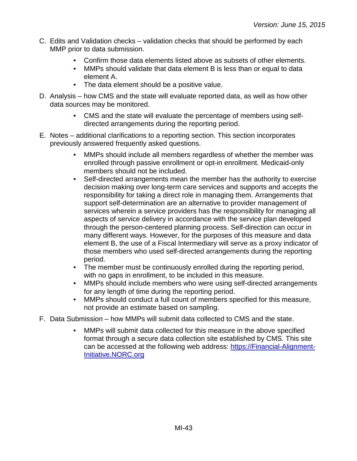- C. Edits and Validation checks validation checks that should be performed by each MMP prior to data submission.
	- Confirm those data elements listed above as subsets of other elements.
	- MMPs should validate that data element B is less than or equal to data element A.
	- The data element should be a positive value.
- D. Analysis how CMS and the state will evaluate reported data, as well as how other data sources may be monitored.
	- CMS and the state will evaluate the percentage of members using selfdirected arrangements during the reporting period.
- E. Notes additional clarifications to a reporting section. This section incorporates previously answered frequently asked questions.
	- MMPs should include all members regardless of whether the member was enrolled through passive enrollment or opt-in enrollment. Medicaid-only members should not be included.
	- Self-directed arrangements mean the member has the authority to exercise decision making over long-term care services and supports and accepts the responsibility for taking a direct role in managing them. Arrangements that support self-determination are an alternative to provider management of services wherein a service providers has the responsibility for managing all aspects of service delivery in accordance with the service plan developed through the person-centered planning process. Self-direction can occur in many different ways. However, for the purposes of this measure and data element B, the use of a Fiscal Intermediary will serve as a proxy indicator of those members who used self-directed arrangements during the reporting period.
	- The member must be continuously enrolled during the reporting period, with no gaps in enrollment, to be included in this measure.
	- MMPs should include members who were using self-directed arrangements for any length of time during the reporting period.
	- MMPs should conduct a full count of members specified for this measure, not provide an estimate based on sampling.
- F. Data Submission how MMPs will submit data collected to CMS and the state.
	- MMPs will submit data collected for this measure in the above specified format through a secure data collection site established by CMS. This site can be accessed at the following web address: [https://Financial-Alignment-](https://financial-alignment-initiative.norc.org/)[Initiative.NORC.org](https://financial-alignment-initiative.norc.org/)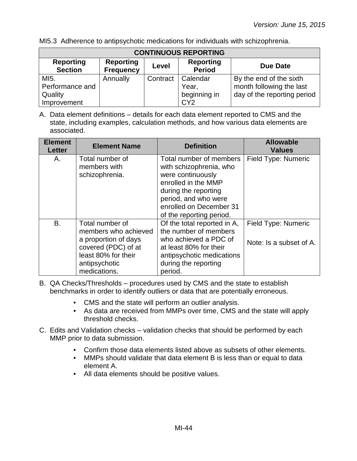MI5.3 Adherence to antipsychotic medications for individuals with schizophrenia.

| <b>CONTINUOUS REPORTING</b>        |                                      |          |                                   |                             |
|------------------------------------|--------------------------------------|----------|-----------------------------------|-----------------------------|
| <b>Reporting</b><br><b>Section</b> | <b>Reporting</b><br><b>Frequency</b> | Level    | <b>Reporting</b><br><b>Period</b> | <b>Due Date</b>             |
| MI5.                               | Annually                             | Contract | Calendar                          | By the end of the sixth     |
| Performance and                    |                                      |          | Year,                             | month following the last    |
| Quality                            |                                      |          | beginning in                      | day of the reporting period |
| Improvement                        |                                      |          | CY <sub>2</sub>                   |                             |

A. Data element definitions – details for each data element reported to CMS and the state, including examples, calculation methods, and how various data elements are associated.

| <b>Element</b><br><b>Letter</b> | <b>Element Name</b>                                                                                                                            | <b>Definition</b>                                                                                                                                                                                     | <b>Allowable</b><br><b>Values</b>              |
|---------------------------------|------------------------------------------------------------------------------------------------------------------------------------------------|-------------------------------------------------------------------------------------------------------------------------------------------------------------------------------------------------------|------------------------------------------------|
| А.                              | Total number of<br>members with<br>schizophrenia.                                                                                              | Total number of members<br>with schizophrenia, who<br>were continuously<br>enrolled in the MMP<br>during the reporting<br>period, and who were<br>enrolled on December 31<br>of the reporting period. | Field Type: Numeric                            |
| B.                              | Total number of<br>members who achieved<br>a proportion of days<br>covered (PDC) of at<br>least 80% for their<br>antipsychotic<br>medications. | Of the total reported in A,<br>the number of members<br>who achieved a PDC of<br>at least 80% for their<br>antipsychotic medications<br>during the reporting<br>period.                               | Field Type: Numeric<br>Note: Is a subset of A. |

B. QA Checks/Thresholds – procedures used by CMS and the state to establish benchmarks in order to identify outliers or data that are potentially erroneous.

- CMS and the state will perform an outlier analysis.
- As data are received from MMPs over time, CMS and the state will apply threshold checks.
- C. Edits and Validation checks validation checks that should be performed by each MMP prior to data submission.
	- Confirm those data elements listed above as subsets of other elements.
	- MMPs should validate that data element B is less than or equal to data element A.
	- All data elements should be positive values.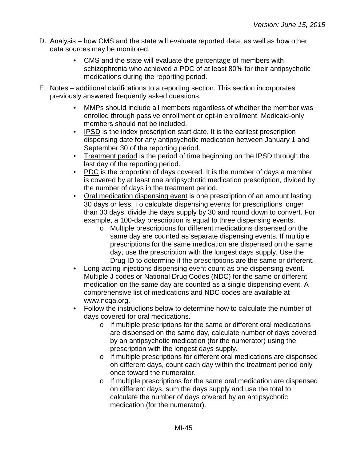- D. Analysis how CMS and the state will evaluate reported data, as well as how other data sources may be monitored.
	- CMS and the state will evaluate the percentage of members with schizophrenia who achieved a PDC of at least 80% for their antipsychotic medications during the reporting period.
- E. Notes additional clarifications to a reporting section. This section incorporates previously answered frequently asked questions.
	- MMPs should include all members regardless of whether the member was enrolled through passive enrollment or opt-in enrollment. Medicaid-only members should not be included.
	- IPSD is the index prescription start date. It is the earliest prescription dispensing date for any antipsychotic medication between January 1 and September 30 of the reporting period.
	- Treatment period is the period of time beginning on the IPSD through the last day of the reporting period.
	- PDC is the proportion of days covered. It is the number of days a member is covered by at least one antipsychotic medication prescription, divided by the number of days in the treatment period.
	- Oral medication dispensing event is one prescription of an amount lasting 30 days or less. To calculate dispensing events for prescriptions longer than 30 days, divide the days supply by 30 and round down to convert. For example, a 100-day prescription is equal to three dispensing events.
		- o Multiple prescriptions for different medications dispensed on the same day are counted as separate dispensing events. If multiple prescriptions for the same medication are dispensed on the same day, use the prescription with the longest days supply. Use the Drug ID to determine if the prescriptions are the same or different.
	- Long-acting injections dispensing event count as one dispensing event. Multiple J codes or National Drug Codes (NDC) for the same or different medication on the same day are counted as a single dispensing event. A comprehensive list of medications and NDC codes are available at www.ncqa.org.
	- Follow the instructions below to determine how to calculate the number of days covered for oral medications.
		- o If multiple prescriptions for the same or different oral medications are dispensed on the same day, calculate number of days covered by an antipsychotic medication (for the numerator) using the prescription with the longest days supply.
		- o If multiple prescriptions for different oral medications are dispensed on different days, count each day within the treatment period only once toward the numerator.
		- o If multiple prescriptions for the same oral medication are dispensed on different days, sum the days supply and use the total to calculate the number of days covered by an antipsychotic medication (for the numerator).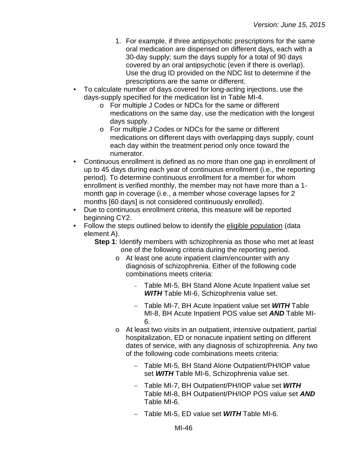- 1. For example, if three antipsychotic prescriptions for the same oral medication are dispensed on different days, each with a 30-day supply; sum the days supply for a total of 90 days covered by an oral antipsychotic (even if there is overlap). Use the drug ID provided on the NDC list to determine if the prescriptions are the same or different.
- To calculate number of days covered for long-acting injections, use the days-supply specified for the medication list in Table MI-4.
	- o For multiple J Codes or NDCs for the same or different medications on the same day, use the medication with the longest days supply.
	- o For multiple J Codes or NDCs for the same or different medications on different days with overlapping days supply, count each day within the treatment period only once toward the numerator.
- Continuous enrollment is defined as no more than one gap in enrollment of up to 45 days during each year of continuous enrollment (i.e., the reporting period). To determine continuous enrollment for a member for whom enrollment is verified monthly, the member may not have more than a 1 month gap in coverage (i.e., a member whose coverage lapses for 2 months [60 days] is not considered continuously enrolled).
- Due to continuous enrollment criteria, this measure will be reported beginning CY2.
- Follow the steps outlined below to identify the eligible population (data element A).
	- **Step 1**: Identify members with schizophrenia as those who met at least one of the following criteria during the reporting period.
		- o At least one acute inpatient claim/encounter with any diagnosis of schizophrenia. Either of the following code combinations meets criteria:
			- − Table MI-5, BH Stand Alone Acute Inpatient value set *WITH* Table MI-6, Schizophrenia value set.
			- − Table MI-7, BH Acute Inpatient value set *WITH* Table MI-8, BH Acute Inpatient POS value set *AND* Table MI-6.
		- o At least two visits in an outpatient, intensive outpatient, partial hospitalization, ED or nonacute inpatient setting on different dates of service, with any diagnosis of schizophrenia. Any two of the following code combinations meets criteria:
			- − Table MI-5, BH Stand Alone Outpatient/PH/IOP value set *WITH* Table MI-6, Schizophrenia value set.
			- − Table MI-7, BH Outpatient/PH/IOP value set *WITH* Table MI-8, BH Outpatient/PH/IOP POS value set *AND* Table MI-6.
			- − Table MI-5, ED value set *WITH* Table MI-6.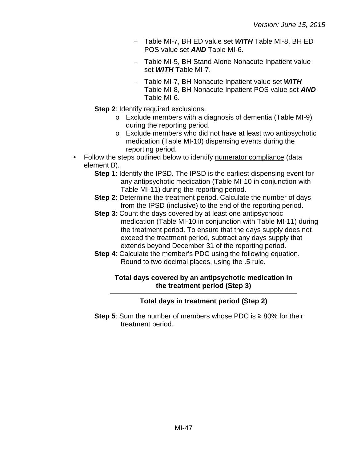- − Table MI-7, BH ED value set *WITH* Table MI-8, BH ED POS value set *AND* Table MI-6.
- − Table MI-5, BH Stand Alone Nonacute Inpatient value set *WITH* Table MI-7.
- − Table MI-7, BH Nonacute Inpatient value set *WITH* Table MI-8, BH Nonacute Inpatient POS value set *AND* Table MI-6.
- **Step 2: Identify required exclusions.** 
	- o Exclude members with a diagnosis of dementia (Table MI-9) during the reporting period.
	- o Exclude members who did not have at least two antipsychotic medication (Table MI-10) dispensing events during the reporting period.
- Follow the steps outlined below to identify numerator compliance (data element B).
	- **Step 1**: Identify the IPSD. The IPSD is the earliest dispensing event for any antipsychotic medication (Table MI-10 in conjunction with Table MI-11) during the reporting period.
	- **Step 2**: Determine the treatment period. Calculate the number of days from the IPSD (inclusive) to the end of the reporting period.
	- **Step 3**: Count the days covered by at least one antipsychotic medication (Table MI-10 in conjunction with Table MI-11) during the treatment period. To ensure that the days supply does not exceed the treatment period, subtract any days supply that extends beyond December 31 of the reporting period.
	- **Step 4:** Calculate the member's PDC using the following equation. Round to two decimal places, using the .5 rule.

#### **Total days covered by an antipsychotic medication in the treatment period (Step 3)**

## **Total days in treatment period (Step 2)**

**Step 5**: Sum the number of members whose PDC is ≥ 80% for their treatment period.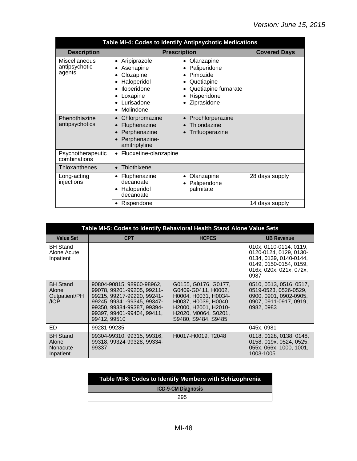| Table MI-4: Codes to Identify Antipsychotic Medications |                                                                                                                       |                                                                                                           |                     |  |
|---------------------------------------------------------|-----------------------------------------------------------------------------------------------------------------------|-----------------------------------------------------------------------------------------------------------|---------------------|--|
| <b>Description</b>                                      | <b>Prescription</b>                                                                                                   |                                                                                                           | <b>Covered Days</b> |  |
| <b>Miscellaneous</b><br>antipsychotic<br>agents         | Aripiprazole<br>٠<br>Asenapine<br>Clozapine<br>Haloperidol<br>Iloperidone<br>٠<br>Loxapine<br>Lurisadone<br>Molindone | Olanzapine<br>Paliperidone<br>Pimozide<br>Quetiapine<br>Quetiapine fumarate<br>Risperidone<br>Ziprasidone |                     |  |
| Phenothiazine<br>antipsychotics                         | Chlorpromazine<br>Fluphenazine<br>$\bullet$<br>Perphenazine<br>Perphenazine-<br>amitriptyline                         | Prochlorperazine<br>Thioridazine<br>Trifluoperazine                                                       |                     |  |
| Psychotherapeutic<br>combinations                       | Fluoxetine-olanzapine<br>$\bullet$                                                                                    |                                                                                                           |                     |  |
| Thioxanthenes                                           | Thiothixene<br>$\bullet$                                                                                              |                                                                                                           |                     |  |
| Long-acting<br>injections                               | Fluphenazine<br>decanoate<br>Haloperidol<br>$\bullet$<br>decanoate                                                    | Olanzapine<br>Paliperidone<br>palmitate                                                                   | 28 days supply      |  |
|                                                         | Risperidone<br>٠                                                                                                      |                                                                                                           | 14 days supply      |  |

|                                                   | Table MI-5: Codes to Identify Behavioral Health Stand Alone Value Sets                                                                                                                        |                                                                                                                                                                    |                                                                                                                                         |  |  |  |
|---------------------------------------------------|-----------------------------------------------------------------------------------------------------------------------------------------------------------------------------------------------|--------------------------------------------------------------------------------------------------------------------------------------------------------------------|-----------------------------------------------------------------------------------------------------------------------------------------|--|--|--|
| <b>Value Set</b>                                  | <b>CPT</b>                                                                                                                                                                                    | <b>HCPCS</b>                                                                                                                                                       | <b>UB Revenue</b>                                                                                                                       |  |  |  |
| <b>BH Stand</b><br>Alone Acute<br>Inpatient       |                                                                                                                                                                                               |                                                                                                                                                                    | 010x, 0110-0114, 0119,<br>0120-0124, 0129, 0130-<br>0134, 0139, 0140-0144,<br>0149, 0150-0154, 0159,<br>016x, 020x, 021x, 072x,<br>0987 |  |  |  |
| <b>BH Stand</b><br>Alone<br>Outpatient/PH<br>AOP  | 90804-90815, 98960-98962,<br>99078.99201-99205.99211-<br>99215, 99217-99220, 99241-<br>99245, 99341-99345, 99347-<br>99350. 99384-99387. 99394-<br>99397, 99401-99404, 99411,<br>99412, 99510 | G0155, G0176, G0177,<br>G0409-G0411, H0002.<br>H0004, H0031, H0034-<br>H0037, H0039, H0040,<br>H2000. H2001. H2010-<br>H2020, M0064, S0201,<br>S9480, S9484, S9485 | 0510, 0513, 0516, 0517,<br>0519-0523, 0526-0529,<br>0900, 0901, 0902-0905,<br>0907, 0911-0917, 0919,<br>0982, 0983                      |  |  |  |
| ED.                                               | 99281-99285                                                                                                                                                                                   |                                                                                                                                                                    | 045x, 0981                                                                                                                              |  |  |  |
| <b>BH Stand</b><br>Alone<br>Nonacute<br>Inpatient | 99304-99310, 99315, 99316,<br>99318.99324-99328.99334-<br>99337                                                                                                                               | H0017-H0019, T2048                                                                                                                                                 | 0118, 0128, 0138, 0148,<br>0158, 019x, 0524, 0525,<br>055x, 066x, 1000, 1001,<br>1003-1005                                              |  |  |  |

| Table MI-6: Codes to Identify Members with Schizophrenia |  |
|----------------------------------------------------------|--|
| <b>ICD-9-CM Diagnosis</b>                                |  |
| 295                                                      |  |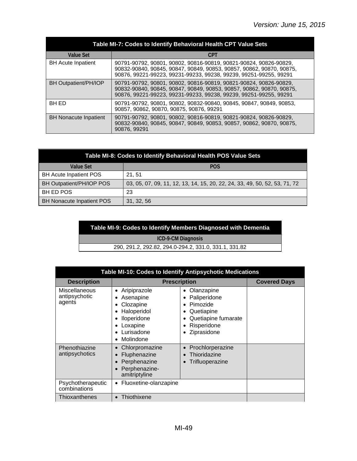| Table MI-7: Codes to Identify Behavioral Health CPT Value Sets |                                                                                                                                                                                                                |  |  |  |
|----------------------------------------------------------------|----------------------------------------------------------------------------------------------------------------------------------------------------------------------------------------------------------------|--|--|--|
| <b>Value Set</b>                                               | <b>CPT</b>                                                                                                                                                                                                     |  |  |  |
| <b>BH Acute Inpatient</b>                                      | 90791-90792, 90801, 90802, 90816-90819, 90821-90824, 90826-90829,<br>90832-90840, 90845, 90847, 90849, 90853, 90857, 90862, 90870, 90875,<br>90876, 99221-99223, 99231-99233, 99238, 99239, 99251-99255, 99291 |  |  |  |
| BH Outpatient/PH/IOP                                           | 90791-90792, 90801, 90802, 90816-90819, 90821-90824, 90826-90829,<br>90832-90840, 90845, 90847, 90849, 90853, 90857, 90862, 90870, 90875,<br>90876, 99221-99223, 99231-99233, 99238, 99239, 99251-99255, 99291 |  |  |  |
| <b>BH ED</b>                                                   | 90791-90792, 90801, 90802, 90832-90840, 90845, 90847, 90849, 90853,<br>90857, 90862, 90870, 90875, 90876, 99291                                                                                                |  |  |  |
| <b>BH Nonacute Inpatient</b>                                   | 90791-90792, 90801, 90802, 90816-90819, 90821-90824, 90826-90829,<br>90832-90840, 90845, 90847, 90849, 90853, 90857, 90862, 90870, 90875,<br>90876, 99291                                                      |  |  |  |

| Table MI-8: Codes to Identify Behavioral Health POS Value Sets |                                                                            |  |  |
|----------------------------------------------------------------|----------------------------------------------------------------------------|--|--|
| Value Set                                                      | <b>POS</b>                                                                 |  |  |
| <b>BH Acute Inpatient POS</b>                                  | 21.51                                                                      |  |  |
| BH Outpatient/PH/IOP POS                                       | 03, 05, 07, 09, 11, 12, 13, 14, 15, 20, 22, 24, 33, 49, 50, 52, 53, 71, 72 |  |  |
| <b>BH ED POS</b>                                               | 23                                                                         |  |  |
| <b>BH Nonacute Inpatient POS</b>                               | 31, 32, 56                                                                 |  |  |

#### **Table MI-9: Codes to Identify Members Diagnosed with Dementia**

**ICD-9-CM Diagnosis**

290, 291.2, 292.82, 294.0-294.2, 331.0, 331.1, 331.82

| Table MI-10: Codes to Identify Antipsychotic Medications |                                                                                                                                       |                                                                                                                |                     |
|----------------------------------------------------------|---------------------------------------------------------------------------------------------------------------------------------------|----------------------------------------------------------------------------------------------------------------|---------------------|
| <b>Description</b>                                       | <b>Prescription</b>                                                                                                                   |                                                                                                                | <b>Covered Days</b> |
| Miscellaneous<br>antipsychotic<br>agents                 | Aripiprazole<br>$\bullet$<br>Asenapine<br>Clozapine<br>Haloperidol<br>Iloperidone<br>Loxapine<br>Lurisadone<br>Molindone<br>$\bullet$ | Olanzapine<br>٠<br>Paliperidone<br>Pimozide<br>Quetiapine<br>Quetiapine fumarate<br>Risperidone<br>Ziprasidone |                     |
| Phenothiazine<br>antipsychotics                          | Chlorpromazine<br>Fluphenazine<br>Perphenazine<br>Perphenazine-<br>amitriptyline                                                      | Prochlorperazine<br>Thioridazine<br>Trifluoperazine                                                            |                     |
| Psychotherapeutic<br>combinations                        | Fluoxetine-olanzapine<br>$\bullet$                                                                                                    |                                                                                                                |                     |
| Thioxanthenes                                            | Thiothixene<br>$\bullet$                                                                                                              |                                                                                                                |                     |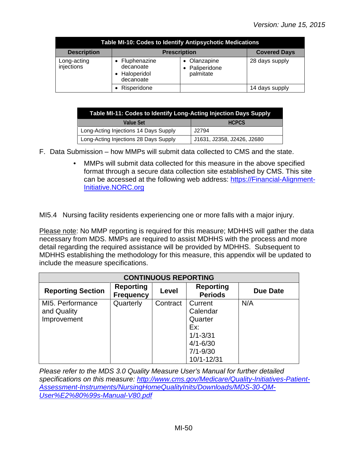| Table MI-10: Codes to Identify Antipsychotic Medications |                                                       |                                         |                     |  |
|----------------------------------------------------------|-------------------------------------------------------|-----------------------------------------|---------------------|--|
| <b>Description</b>                                       | <b>Prescription</b>                                   |                                         | <b>Covered Days</b> |  |
| Long-acting<br>injections                                | Fluphenazine<br>decanoate<br>Haloperidol<br>decanoate | Olanzapine<br>Paliperidone<br>palmitate | 28 days supply      |  |
|                                                          | Risperidone                                           |                                         | 14 days supply      |  |

| Table MI-11: Codes to Identify Long-Acting Injection Days Supply |                            |  |  |
|------------------------------------------------------------------|----------------------------|--|--|
| Value Set                                                        | <b>HCPCS</b>               |  |  |
| Long-Acting Injections 14 Days Supply                            | J2794                      |  |  |
| Long-Acting Injections 28 Days Supply                            | J1631, J2358, J2426, J2680 |  |  |

- F. Data Submission how MMPs will submit data collected to CMS and the state.
	- MMPs will submit data collected for this measure in the above specified format through a secure data collection site established by CMS. This site can be accessed at the following web address: [https://Financial-Alignment-](https://financial-alignment-initiative.norc.org/)[Initiative.NORC.org](https://financial-alignment-initiative.norc.org/)

MI5.4 Nursing facility residents experiencing one or more falls with a major injury.

Please note: No MMP reporting is required for this measure; MDHHS will gather the data necessary from MDS. MMPs are required to assist MDHHS with the process and more detail regarding the required assistance will be provided by MDHHS. Subsequent to MDHHS establishing the methodology for this measure, this appendix will be updated to include the measure specifications.

| <b>CONTINUOUS REPORTING</b> |                                      |          |                                    |                 |
|-----------------------------|--------------------------------------|----------|------------------------------------|-----------------|
| <b>Reporting Section</b>    | <b>Reporting</b><br><b>Frequency</b> | Level    | <b>Reporting</b><br><b>Periods</b> | <b>Due Date</b> |
| MI5. Performance            | Quarterly                            | Contract | Current                            | N/A             |
| and Quality                 |                                      |          | Calendar                           |                 |
| Improvement                 |                                      |          | Quarter                            |                 |
|                             |                                      |          | Ex:                                |                 |
|                             |                                      |          | $1/1 - 3/31$                       |                 |
|                             |                                      |          | $4/1 - 6/30$                       |                 |
|                             |                                      |          | $7/1 - 9/30$                       |                 |
|                             |                                      |          | 10/1-12/31                         |                 |

*Please refer to the MDS 3.0 Quality Measure User's Manual for further detailed specifications on this measure: [http://www.cms.gov/Medicare/Quality-Initiatives-Patient-](http://www.cms.gov/Medicare/Quality-Initiatives-Patient-Assessment-Instruments/NursingHomeQualityInits/Downloads/MDS-30-QM-User%E2%80%99s-Manual-V80.pdf)[Assessment-Instruments/NursingHomeQualityInits/Downloads/MDS-30-QM-](http://www.cms.gov/Medicare/Quality-Initiatives-Patient-Assessment-Instruments/NursingHomeQualityInits/Downloads/MDS-30-QM-User%E2%80%99s-Manual-V80.pdf)[User%E2%80%99s-Manual-V80.pdf](http://www.cms.gov/Medicare/Quality-Initiatives-Patient-Assessment-Instruments/NursingHomeQualityInits/Downloads/MDS-30-QM-User%E2%80%99s-Manual-V80.pdf)*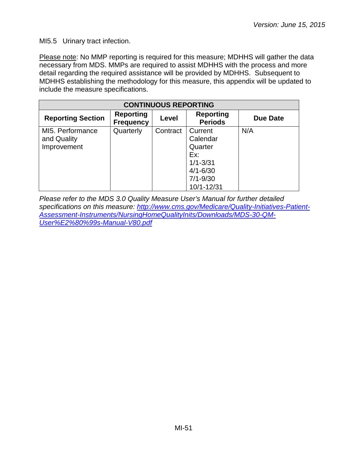MI5.5 Urinary tract infection.

Please note: No MMP reporting is required for this measure; MDHHS will gather the data necessary from MDS. MMPs are required to assist MDHHS with the process and more detail regarding the required assistance will be provided by MDHHS. Subsequent to MDHHS establishing the methodology for this measure, this appendix will be updated to include the measure specifications.

| <b>CONTINUOUS REPORTING</b>                    |                                      |          |                                                                       |          |
|------------------------------------------------|--------------------------------------|----------|-----------------------------------------------------------------------|----------|
| <b>Reporting Section</b>                       | <b>Reporting</b><br><b>Frequency</b> | Level    | <b>Reporting</b><br><b>Periods</b>                                    | Due Date |
| MI5. Performance<br>and Quality<br>Improvement | Quarterly                            | Contract | Current<br>Calendar<br>Quarter<br>Ex:<br>$1/1 - 3/31$<br>$4/1 - 6/30$ | N/A      |
|                                                |                                      |          | $7/1 - 9/30$<br>10/1-12/31                                            |          |

*Please refer to the MDS 3.0 Quality Measure User's Manual for further detailed specifications on this measure: [http://www.cms.gov/Medicare/Quality-Initiatives-Patient-](http://www.cms.gov/Medicare/Quality-Initiatives-Patient-Assessment-Instruments/NursingHomeQualityInits/Downloads/MDS-30-QM-User%E2%80%99s-Manual-V80.pdf)[Assessment-Instruments/NursingHomeQualityInits/Downloads/MDS-30-QM-](http://www.cms.gov/Medicare/Quality-Initiatives-Patient-Assessment-Instruments/NursingHomeQualityInits/Downloads/MDS-30-QM-User%E2%80%99s-Manual-V80.pdf)[User%E2%80%99s-Manual-V80.pdf](http://www.cms.gov/Medicare/Quality-Initiatives-Patient-Assessment-Instruments/NursingHomeQualityInits/Downloads/MDS-30-QM-User%E2%80%99s-Manual-V80.pdf)*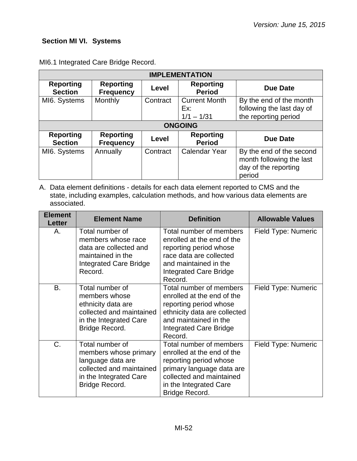## <span id="page-51-0"></span>**Section MI VI. Systems**

| <b>IMPLEMENTATION</b>              |                                      |          |                                             |                                                                                        |
|------------------------------------|--------------------------------------|----------|---------------------------------------------|----------------------------------------------------------------------------------------|
| <b>Reporting</b><br><b>Section</b> | <b>Reporting</b><br><b>Frequency</b> | Level    | <b>Reporting</b><br><b>Period</b>           | Due Date                                                                               |
| MI6. Systems                       | Monthly                              | Contract | <b>Current Month</b><br>Ex:<br>$1/1 - 1/31$ | By the end of the month<br>following the last day of<br>the reporting period           |
|                                    |                                      |          | <b>ONGOING</b>                              |                                                                                        |
| <b>Reporting</b><br><b>Section</b> | <b>Reporting</b><br><b>Frequency</b> | Level    | <b>Reporting</b><br><b>Period</b>           | <b>Due Date</b>                                                                        |
| MI6. Systems                       | Annually                             | Contract | <b>Calendar Year</b>                        | By the end of the second<br>month following the last<br>day of the reporting<br>period |

MI6.1 Integrated Care Bridge Record.

| <b>Element</b><br><b>Letter</b> | <b>Element Name</b>                                                                                                                   | <b>Definition</b>                                                                                                                                                                    | <b>Allowable Values</b> |
|---------------------------------|---------------------------------------------------------------------------------------------------------------------------------------|--------------------------------------------------------------------------------------------------------------------------------------------------------------------------------------|-------------------------|
| А.                              | Total number of<br>members whose race<br>data are collected and<br>maintained in the<br><b>Integrated Care Bridge</b><br>Record.      | Total number of members<br>enrolled at the end of the<br>reporting period whose<br>race data are collected<br>and maintained in the<br><b>Integrated Care Bridge</b><br>Record.      | Field Type: Numeric     |
| В.                              | Total number of<br>members whose<br>ethnicity data are<br>collected and maintained<br>in the Integrated Care<br>Bridge Record.        | Total number of members<br>enrolled at the end of the<br>reporting period whose<br>ethnicity data are collected<br>and maintained in the<br>Integrated Care Bridge<br>Record.        | Field Type: Numeric     |
| C.                              | Total number of<br>members whose primary<br>language data are<br>collected and maintained<br>in the Integrated Care<br>Bridge Record. | Total number of members<br>enrolled at the end of the<br>reporting period whose<br>primary language data are<br>collected and maintained<br>in the Integrated Care<br>Bridge Record. | Field Type: Numeric     |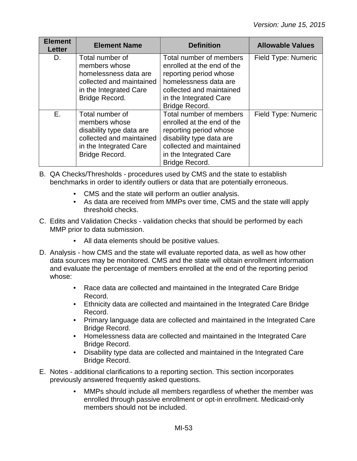| <b>Element</b><br><b>Letter</b> | <b>Element Name</b>                                                                                                                  | <b>Definition</b>                                                                                                                                                                   | <b>Allowable Values</b> |
|---------------------------------|--------------------------------------------------------------------------------------------------------------------------------------|-------------------------------------------------------------------------------------------------------------------------------------------------------------------------------------|-------------------------|
| D.                              | Total number of<br>members whose<br>homelessness data are<br>collected and maintained<br>in the Integrated Care<br>Bridge Record.    | Total number of members<br>enrolled at the end of the<br>reporting period whose<br>homelessness data are<br>collected and maintained<br>in the Integrated Care<br>Bridge Record.    | Field Type: Numeric     |
| $E_{\rm{H}}$                    | Total number of<br>members whose<br>disability type data are<br>collected and maintained<br>in the Integrated Care<br>Bridge Record. | Total number of members<br>enrolled at the end of the<br>reporting period whose<br>disability type data are<br>collected and maintained<br>in the Integrated Care<br>Bridge Record. | Field Type: Numeric     |

- B. QA Checks/Thresholds procedures used by CMS and the state to establish benchmarks in order to identify outliers or data that are potentially erroneous.
	- CMS and the state will perform an outlier analysis.
	- As data are received from MMPs over time, CMS and the state will apply threshold checks.
- C. Edits and Validation Checks validation checks that should be performed by each MMP prior to data submission.
	- All data elements should be positive values.
- D. Analysis how CMS and the state will evaluate reported data, as well as how other data sources may be monitored. CMS and the state will obtain enrollment information and evaluate the percentage of members enrolled at the end of the reporting period whose:
	- Race data are collected and maintained in the Integrated Care Bridge Record.
	- Ethnicity data are collected and maintained in the Integrated Care Bridge Record.
	- Primary language data are collected and maintained in the Integrated Care Bridge Record.
	- Homelessness data are collected and maintained in the Integrated Care Bridge Record.
	- Disability type data are collected and maintained in the Integrated Care Bridge Record.
- E. Notes additional clarifications to a reporting section. This section incorporates previously answered frequently asked questions.
	- MMPs should include all members regardless of whether the member was enrolled through passive enrollment or opt-in enrollment. Medicaid-only members should not be included.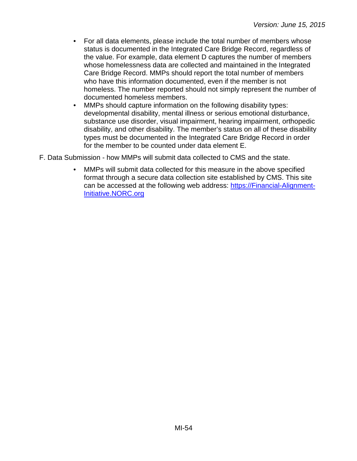- For all data elements, please include the total number of members whose status is documented in the Integrated Care Bridge Record, regardless of the value. For example, data element D captures the number of members whose homelessness data are collected and maintained in the Integrated Care Bridge Record. MMPs should report the total number of members who have this information documented, even if the member is not homeless. The number reported should not simply represent the number of documented homeless members.
- MMPs should capture information on the following disability types: developmental disability, mental illness or serious emotional disturbance, substance use disorder, visual impairment, hearing impairment, orthopedic disability, and other disability. The member's status on all of these disability types must be documented in the Integrated Care Bridge Record in order for the member to be counted under data element E.
- F. Data Submission how MMPs will submit data collected to CMS and the state.
	- MMPs will submit data collected for this measure in the above specified format through a secure data collection site established by CMS. This site can be accessed at the following web address: [https://Financial-Alignment-](https://financial-alignment-initiative.norc.org/)[Initiative.NORC.org](https://financial-alignment-initiative.norc.org/)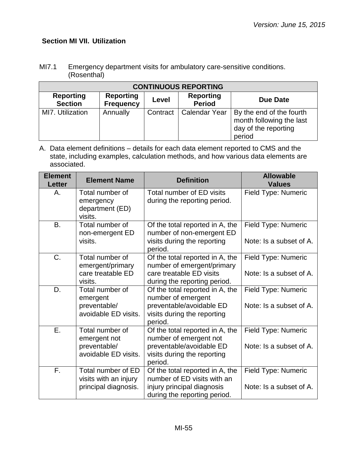# <span id="page-54-0"></span>**Section MI VII. Utilization**

| MI7.1 | Emergency department visits for ambulatory care-sensitive conditions. |
|-------|-----------------------------------------------------------------------|
|       | (Rosenthal)                                                           |

| <b>CONTINUOUS REPORTING</b>        |                                      |          |                                   |                                                                                        |  |
|------------------------------------|--------------------------------------|----------|-----------------------------------|----------------------------------------------------------------------------------------|--|
| <b>Reporting</b><br><b>Section</b> | <b>Reporting</b><br><b>Frequency</b> | Level    | <b>Reporting</b><br><b>Period</b> | Due Date                                                                               |  |
| MI7. Utilization                   | Annually                             | Contract | Calendar Year                     | By the end of the fourth<br>month following the last<br>day of the reporting<br>period |  |

| <b>Element</b><br><b>Letter</b> | <b>Element Name</b>                                                     | <b>Definition</b>                                                                                                               | <b>Allowable</b><br><b>Values</b>              |
|---------------------------------|-------------------------------------------------------------------------|---------------------------------------------------------------------------------------------------------------------------------|------------------------------------------------|
| Α.                              | Total number of<br>emergency<br>department (ED)<br>visits.              | Total number of ED visits<br>during the reporting period.                                                                       | Field Type: Numeric                            |
| <b>B.</b>                       | Total number of<br>non-emergent ED<br>visits.                           | Of the total reported in A, the<br>number of non-emergent ED<br>visits during the reporting<br>period.                          | Field Type: Numeric<br>Note: Is a subset of A. |
| C.                              | Total number of<br>emergent/primary<br>care treatable ED<br>visits.     | Of the total reported in A, the<br>number of emergent/primary<br>care treatable ED visits<br>during the reporting period.       | Field Type: Numeric<br>Note: Is a subset of A. |
| D.                              | Total number of<br>emergent<br>preventable/<br>avoidable ED visits.     | Of the total reported in A, the<br>number of emergent<br>preventable/avoidable ED<br>visits during the reporting<br>period.     | Field Type: Numeric<br>Note: Is a subset of A. |
| Ε.                              | Total number of<br>emergent not<br>preventable/<br>avoidable ED visits. | Of the total reported in A, the<br>number of emergent not<br>preventable/avoidable ED<br>visits during the reporting<br>period. | Field Type: Numeric<br>Note: Is a subset of A. |
| $F_{\rm L}$                     | Total number of ED<br>visits with an injury<br>principal diagnosis.     | Of the total reported in A, the<br>number of ED visits with an<br>injury principal diagnosis<br>during the reporting period.    | Field Type: Numeric<br>Note: Is a subset of A. |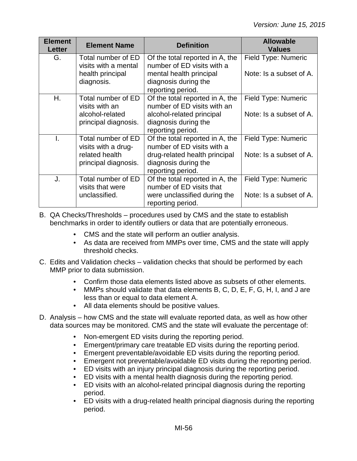| <b>Element</b><br><b>Letter</b> | <b>Element Name</b>                                                                 | <b>Definition</b>                                                                                                                           | <b>Allowable</b><br><b>Values</b>              |
|---------------------------------|-------------------------------------------------------------------------------------|---------------------------------------------------------------------------------------------------------------------------------------------|------------------------------------------------|
| G.                              | Total number of ED<br>visits with a mental<br>health principal<br>diagnosis.        | Of the total reported in A, the<br>number of ED visits with a<br>mental health principal<br>diagnosis during the<br>reporting period.       | Field Type: Numeric<br>Note: Is a subset of A. |
| H.                              | Total number of ED<br>visits with an<br>alcohol-related<br>principal diagnosis.     | Of the total reported in A, the<br>number of ED visits with an<br>alcohol-related principal<br>diagnosis during the<br>reporting period.    | Field Type: Numeric<br>Note: Is a subset of A. |
| T.                              | Total number of ED<br>visits with a drug-<br>related health<br>principal diagnosis. | Of the total reported in A, the<br>number of ED visits with a<br>drug-related health principal<br>diagnosis during the<br>reporting period. | Field Type: Numeric<br>Note: Is a subset of A. |
| J.                              | Total number of ED<br>visits that were<br>unclassified.                             | Of the total reported in A, the<br>number of ED visits that<br>were unclassified during the<br>reporting period.                            | Field Type: Numeric<br>Note: Is a subset of A. |

- B. QA Checks/Thresholds procedures used by CMS and the state to establish benchmarks in order to identify outliers or data that are potentially erroneous.
	- CMS and the state will perform an outlier analysis.
	- As data are received from MMPs over time, CMS and the state will apply threshold checks.
- C. Edits and Validation checks validation checks that should be performed by each MMP prior to data submission.
	- Confirm those data elements listed above as subsets of other elements.
	- MMPs should validate that data elements B, C, D, E, F, G, H, I, and J are less than or equal to data element A.
	- All data elements should be positive values.
- D. Analysis how CMS and the state will evaluate reported data, as well as how other data sources may be monitored. CMS and the state will evaluate the percentage of:
	- Non-emergent ED visits during the reporting period.
	- Emergent/primary care treatable ED visits during the reporting period.
	- Emergent preventable/avoidable ED visits during the reporting period.
	- Emergent not preventable/avoidable ED visits during the reporting period.
	- ED visits with an injury principal diagnosis during the reporting period.
	- ED visits with a mental health diagnosis during the reporting period.
	- ED visits with an alcohol-related principal diagnosis during the reporting period.
	- ED visits with a drug-related health principal diagnosis during the reporting period.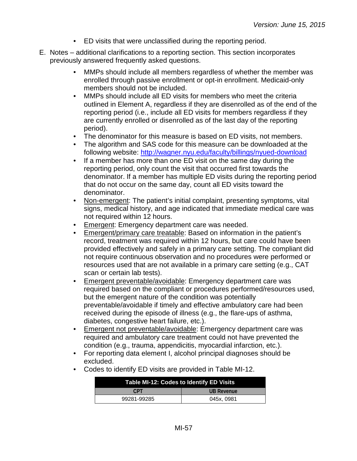- ED visits that were unclassified during the reporting period.
- E. Notes additional clarifications to a reporting section. This section incorporates previously answered frequently asked questions.
	- MMPs should include all members regardless of whether the member was enrolled through passive enrollment or opt-in enrollment. Medicaid-only members should not be included.
	- MMPs should include all ED visits for members who meet the criteria outlined in Element A, regardless if they are disenrolled as of the end of the reporting period (i.e., include all ED visits for members regardless if they are currently enrolled or disenrolled as of the last day of the reporting period).
	- The denominator for this measure is based on ED visits, not members.
	- The algorithm and SAS code for this measure can be downloaded at the following website:<http://wagner.nyu.edu/faculty/billings/nyued-download>
	- If a member has more than one ED visit on the same day during the reporting period, only count the visit that occurred first towards the denominator. If a member has multiple ED visits during the reporting period that do not occur on the same day, count all ED visits toward the denominator.
	- Non-emergent: The patient's initial complaint, presenting symptoms, vital signs, medical history, and age indicated that immediate medical care was not required within 12 hours.
	- Emergent: Emergency department care was needed.
	- Emergent/primary care treatable: Based on information in the patient's record, treatment was required within 12 hours, but care could have been provided effectively and safely in a primary care setting. The compliant did not require continuous observation and no procedures were performed or resources used that are not available in a primary care setting (e.g., CAT scan or certain lab tests).
	- Emergent preventable/avoidable: Emergency department care was required based on the compliant or procedures performed/resources used, but the emergent nature of the condition was potentially preventable/avoidable if timely and effective ambulatory care had been received during the episode of illness (e.g., the flare-ups of asthma, diabetes, congestive heart failure, etc.).
	- Emergent not preventable/avoidable: Emergency department care was required and ambulatory care treatment could not have prevented the condition (e.g., trauma, appendicitis, myocardial infarction, etc.).
	- For reporting data element I, alcohol principal diagnoses should be excluded.
	- Codes to identify ED visits are provided in Table MI-12.

| Table MI-12: Codes to Identify ED Visits |            |  |
|------------------------------------------|------------|--|
| <b>CPT</b>                               | UB Revenue |  |
| 99281-99285                              | 045x.0981  |  |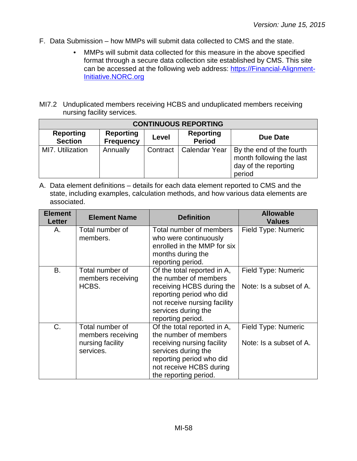- F. Data Submission how MMPs will submit data collected to CMS and the state.
	- MMPs will submit data collected for this measure in the above specified format through a secure data collection site established by CMS. This site can be accessed at the following web address: [https://Financial-Alignment-](https://financial-alignment-initiative.norc.org/)[Initiative.NORC.org](https://financial-alignment-initiative.norc.org/)
- MI7.2 Unduplicated members receiving HCBS and unduplicated members receiving nursing facility services.

| <b>CONTINUOUS REPORTING</b>        |                                      |          |                                   |                                                                                        |
|------------------------------------|--------------------------------------|----------|-----------------------------------|----------------------------------------------------------------------------------------|
| <b>Reporting</b><br><b>Section</b> | <b>Reporting</b><br><b>Frequency</b> | Level    | <b>Reporting</b><br><b>Period</b> | Due Date                                                                               |
| MI7. Utilization                   | Annually                             | Contract | Calendar Year                     | By the end of the fourth<br>month following the last<br>day of the reporting<br>period |

| <b>Element</b><br><b>Letter</b> | <b>Element Name</b>                                                   | <b>Definition</b>                                                                                                                                                                         | <b>Allowable</b><br><b>Values</b>              |
|---------------------------------|-----------------------------------------------------------------------|-------------------------------------------------------------------------------------------------------------------------------------------------------------------------------------------|------------------------------------------------|
| А.                              | Total number of<br>members.                                           | Total number of members<br>who were continuously<br>enrolled in the MMP for six<br>months during the<br>reporting period.                                                                 | Field Type: Numeric                            |
| B.                              | Total number of<br>members receiving<br>HCBS.                         | Of the total reported in A,<br>the number of members<br>receiving HCBS during the<br>reporting period who did<br>not receive nursing facility<br>services during the<br>reporting period. | Field Type: Numeric<br>Note: Is a subset of A. |
| $C_{\cdot}$                     | Total number of<br>members receiving<br>nursing facility<br>services. | Of the total reported in A,<br>the number of members<br>receiving nursing facility<br>services during the<br>reporting period who did<br>not receive HCBS during<br>the reporting period. | Field Type: Numeric<br>Note: Is a subset of A. |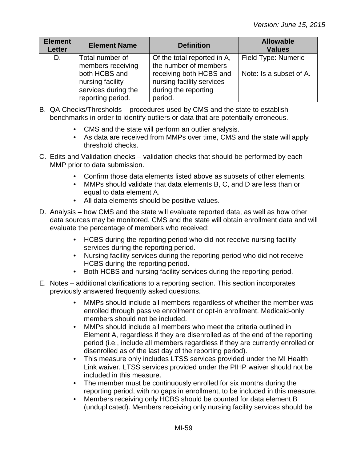| <b>Element</b><br>Letter | <b>Element Name</b>                                                                                                   | <b>Definition</b>                                                                                                                               | <b>Allowable</b><br><b>Values</b>              |
|--------------------------|-----------------------------------------------------------------------------------------------------------------------|-------------------------------------------------------------------------------------------------------------------------------------------------|------------------------------------------------|
| D.                       | Total number of<br>members receiving<br>both HCBS and<br>nursing facility<br>services during the<br>reporting period. | Of the total reported in A,<br>the number of members<br>receiving both HCBS and<br>nursing facility services<br>during the reporting<br>period. | Field Type: Numeric<br>Note: Is a subset of A. |

- B. QA Checks/Thresholds procedures used by CMS and the state to establish benchmarks in order to identify outliers or data that are potentially erroneous.
	- CMS and the state will perform an outlier analysis.
	- As data are received from MMPs over time, CMS and the state will apply threshold checks.
- C. Edits and Validation checks validation checks that should be performed by each MMP prior to data submission.
	- Confirm those data elements listed above as subsets of other elements.
	- MMPs should validate that data elements B, C, and D are less than or equal to data element A.
	- All data elements should be positive values.
- D. Analysis how CMS and the state will evaluate reported data, as well as how other data sources may be monitored. CMS and the state will obtain enrollment data and will evaluate the percentage of members who received:
	- HCBS during the reporting period who did not receive nursing facility services during the reporting period.
	- Nursing facility services during the reporting period who did not receive HCBS during the reporting period.
	- Both HCBS and nursing facility services during the reporting period.
- E. Notes additional clarifications to a reporting section. This section incorporates previously answered frequently asked questions.
	- MMPs should include all members regardless of whether the member was enrolled through passive enrollment or opt-in enrollment. Medicaid-only members should not be included.
	- MMPs should include all members who meet the criteria outlined in Element A, regardless if they are disenrolled as of the end of the reporting period (i.e., include all members regardless if they are currently enrolled or disenrolled as of the last day of the reporting period).
	- This measure only includes LTSS services provided under the MI Health Link waiver. LTSS services provided under the PIHP waiver should not be included in this measure.
	- The member must be continuously enrolled for six months during the reporting period, with no gaps in enrollment, to be included in this measure.
	- Members receiving only HCBS should be counted for data element B (unduplicated). Members receiving only nursing facility services should be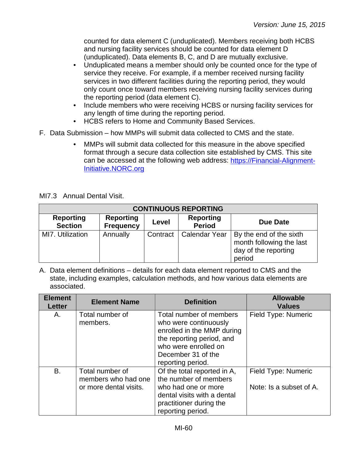counted for data element C (unduplicated). Members receiving both HCBS and nursing facility services should be counted for data element D (unduplicated). Data elements B, C, and D are mutually exclusive.

- Unduplicated means a member should only be counted once for the type of service they receive. For example, if a member received nursing facility services in two different facilities during the reporting period, they would only count once toward members receiving nursing facility services during the reporting period (data element C).
- Include members who were receiving HCBS or nursing facility services for any length of time during the reporting period.
- HCBS refers to Home and Community Based Services.
- F. Data Submission how MMPs will submit data collected to CMS and the state.
	- MMPs will submit data collected for this measure in the above specified format through a secure data collection site established by CMS. This site can be accessed at the following web address: [https://Financial-Alignment-](https://financial-alignment-initiative.norc.org/)[Initiative.NORC.org](https://financial-alignment-initiative.norc.org/)

MI7.3 Annual Dental Visit.

| <b>CONTINUOUS REPORTING</b>        |                                      |          |                                   |                                                                                       |
|------------------------------------|--------------------------------------|----------|-----------------------------------|---------------------------------------------------------------------------------------|
| <b>Reporting</b><br><b>Section</b> | <b>Reporting</b><br><b>Frequency</b> | Level    | <b>Reporting</b><br><b>Period</b> | Due Date                                                                              |
| MI7. Utilization                   | Annually                             | Contract | Calendar Year                     | By the end of the sixth<br>month following the last<br>day of the reporting<br>period |

| <b>Element</b><br><b>Letter</b> | <b>Element Name</b>                                              | <b>Definition</b>                                                                                                                                                              | <b>Allowable</b><br><b>Values</b>              |
|---------------------------------|------------------------------------------------------------------|--------------------------------------------------------------------------------------------------------------------------------------------------------------------------------|------------------------------------------------|
| Α.                              | Total number of<br>members.                                      | Total number of members<br>who were continuously<br>enrolled in the MMP during<br>the reporting period, and<br>who were enrolled on<br>December 31 of the<br>reporting period. | Field Type: Numeric                            |
| B.                              | Total number of<br>members who had one<br>or more dental visits. | Of the total reported in A,<br>the number of members<br>who had one or more<br>dental visits with a dental<br>practitioner during the<br>reporting period.                     | Field Type: Numeric<br>Note: Is a subset of A. |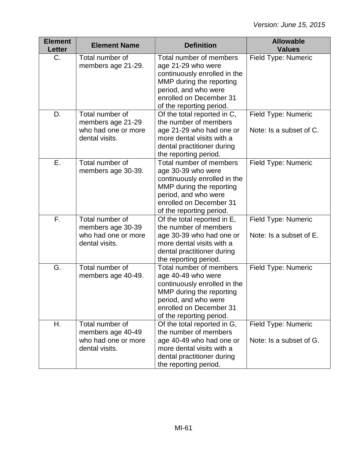| <b>Element</b><br><b>Letter</b> | <b>Element Name</b>                                                           | <b>Definition</b>                                                                                                                                                                        | <b>Allowable</b><br><b>Values</b>              |
|---------------------------------|-------------------------------------------------------------------------------|------------------------------------------------------------------------------------------------------------------------------------------------------------------------------------------|------------------------------------------------|
| $C_{\cdot}$                     | Total number of<br>members age 21-29.                                         | Total number of members<br>age 21-29 who were<br>continuously enrolled in the<br>MMP during the reporting<br>period, and who were<br>enrolled on December 31<br>of the reporting period. | Field Type: Numeric                            |
| D.                              | Total number of<br>members age 21-29<br>who had one or more<br>dental visits. | Of the total reported in C,<br>the number of members<br>age 21-29 who had one or<br>more dental visits with a<br>dental practitioner during<br>the reporting period.                     | Field Type: Numeric<br>Note: Is a subset of C. |
| Ε.                              | Total number of<br>members age 30-39.                                         | Total number of members<br>age 30-39 who were<br>continuously enrolled in the<br>MMP during the reporting<br>period, and who were<br>enrolled on December 31<br>of the reporting period. | Field Type: Numeric                            |
| F.                              | Total number of<br>members age 30-39<br>who had one or more<br>dental visits. | Of the total reported in E,<br>the number of members<br>age 30-39 who had one or<br>more dental visits with a<br>dental practitioner during<br>the reporting period.                     | Field Type: Numeric<br>Note: Is a subset of E. |
| G.                              | Total number of<br>members age 40-49.                                         | Total number of members<br>age 40-49 who were<br>continuously enrolled in the<br>MMP during the reporting<br>period, and who were<br>enrolled on December 31<br>of the reporting period. | Field Type: Numeric                            |
| Η.                              | Total number of<br>members age 40-49<br>who had one or more<br>dental visits. | Of the total reported in G,<br>the number of members<br>age 40-49 who had one or<br>more dental visits with a<br>dental practitioner during<br>the reporting period.                     | Field Type: Numeric<br>Note: Is a subset of G. |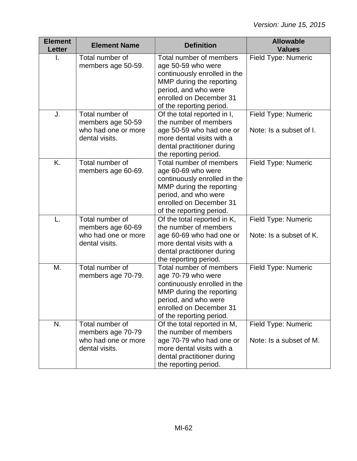| <b>Element</b><br><b>Letter</b> | <b>Element Name</b>                                                           | <b>Definition</b>                                                                                                                                                                        | <b>Allowable</b><br><b>Values</b>              |
|---------------------------------|-------------------------------------------------------------------------------|------------------------------------------------------------------------------------------------------------------------------------------------------------------------------------------|------------------------------------------------|
| I.                              | Total number of<br>members age 50-59.                                         | Total number of members<br>age 50-59 who were<br>continuously enrolled in the<br>MMP during the reporting<br>period, and who were<br>enrolled on December 31<br>of the reporting period. | Field Type: Numeric                            |
| J.                              | Total number of<br>members age 50-59<br>who had one or more<br>dental visits. | Of the total reported in I,<br>the number of members<br>age 50-59 who had one or<br>more dental visits with a<br>dental practitioner during<br>the reporting period.                     | Field Type: Numeric<br>Note: Is a subset of I. |
| K.                              | Total number of<br>members age 60-69.                                         | Total number of members<br>age 60-69 who were<br>continuously enrolled in the<br>MMP during the reporting<br>period, and who were<br>enrolled on December 31<br>of the reporting period. | Field Type: Numeric                            |
| L.                              | Total number of<br>members age 60-69<br>who had one or more<br>dental visits. | Of the total reported in K,<br>the number of members<br>age 60-69 who had one or<br>more dental visits with a<br>dental practitioner during<br>the reporting period.                     | Field Type: Numeric<br>Note: Is a subset of K. |
| Μ.                              | Total number of<br>members age 70-79.                                         | Total number of members<br>age 70-79 who were<br>continuously enrolled in the<br>MMP during the reporting<br>period, and who were<br>enrolled on December 31<br>of the reporting period. | Field Type: Numeric                            |
| N.                              | Total number of<br>members age 70-79<br>who had one or more<br>dental visits. | Of the total reported in M,<br>the number of members<br>age 70-79 who had one or<br>more dental visits with a<br>dental practitioner during<br>the reporting period.                     | Field Type: Numeric<br>Note: Is a subset of M. |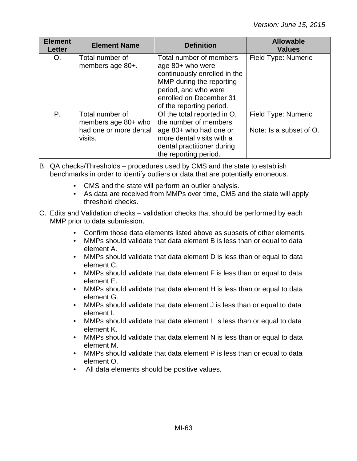| <b>Element</b><br><b>Letter</b> | <b>Element Name</b>                                                         | <b>Definition</b>                                                                                                                                                                      | <b>Allowable</b><br><b>Values</b>              |
|---------------------------------|-----------------------------------------------------------------------------|----------------------------------------------------------------------------------------------------------------------------------------------------------------------------------------|------------------------------------------------|
| O.                              | Total number of<br>members age 80+.                                         | Total number of members<br>age 80+ who were<br>continuously enrolled in the<br>MMP during the reporting<br>period, and who were<br>enrolled on December 31<br>of the reporting period. | Field Type: Numeric                            |
| Ρ.                              | Total number of<br>members age 80+ who<br>had one or more dental<br>visits. | Of the total reported in O,<br>the number of members<br>age 80+ who had one or<br>more dental visits with a<br>dental practitioner during<br>the reporting period.                     | Field Type: Numeric<br>Note: Is a subset of O. |

- B. QA checks/Thresholds procedures used by CMS and the state to establish benchmarks in order to identify outliers or data that are potentially erroneous.
	- CMS and the state will perform an outlier analysis.
	- As data are received from MMPs over time, CMS and the state will apply threshold checks.
- C. Edits and Validation checks validation checks that should be performed by each MMP prior to data submission.
	- Confirm those data elements listed above as subsets of other elements.
	- MMPs should validate that data element B is less than or equal to data element A.
	- MMPs should validate that data element D is less than or equal to data element C.
	- MMPs should validate that data element F is less than or equal to data element E.
	- MMPs should validate that data element H is less than or equal to data element G.
	- MMPs should validate that data element J is less than or equal to data element I.
	- MMPs should validate that data element L is less than or equal to data element K.
	- MMPs should validate that data element N is less than or equal to data element M.
	- MMPs should validate that data element P is less than or equal to data element O.
	- All data elements should be positive values.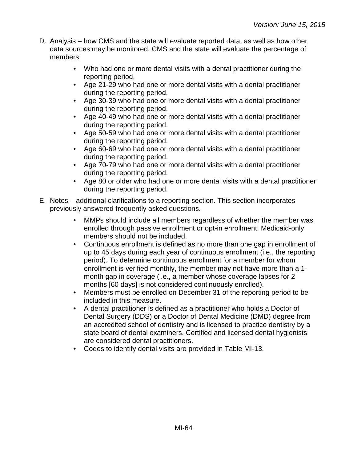- D. Analysis how CMS and the state will evaluate reported data, as well as how other data sources may be monitored. CMS and the state will evaluate the percentage of members:
	- Who had one or more dental visits with a dental practitioner during the reporting period.
	- Age 21-29 who had one or more dental visits with a dental practitioner during the reporting period.
	- Age 30-39 who had one or more dental visits with a dental practitioner during the reporting period.
	- Age 40-49 who had one or more dental visits with a dental practitioner during the reporting period.
	- Age 50-59 who had one or more dental visits with a dental practitioner during the reporting period.
	- Age 60-69 who had one or more dental visits with a dental practitioner during the reporting period.
	- Age 70-79 who had one or more dental visits with a dental practitioner during the reporting period.
	- Age 80 or older who had one or more dental visits with a dental practitioner during the reporting period.
- E. Notes additional clarifications to a reporting section. This section incorporates previously answered frequently asked questions.
	- MMPs should include all members regardless of whether the member was enrolled through passive enrollment or opt-in enrollment. Medicaid-only members should not be included.
	- Continuous enrollment is defined as no more than one gap in enrollment of up to 45 days during each year of continuous enrollment (i.e., the reporting period). To determine continuous enrollment for a member for whom enrollment is verified monthly, the member may not have more than a 1 month gap in coverage (i.e., a member whose coverage lapses for 2 months [60 days] is not considered continuously enrolled).
	- Members must be enrolled on December 31 of the reporting period to be included in this measure.
	- A dental practitioner is defined as a practitioner who holds a Doctor of Dental Surgery (DDS) or a Doctor of Dental Medicine (DMD) degree from an accredited school of dentistry and is licensed to practice dentistry by a state board of dental examiners. Certified and licensed dental hygienists are considered dental practitioners.
	- Codes to identify dental visits are provided in Table MI-13.